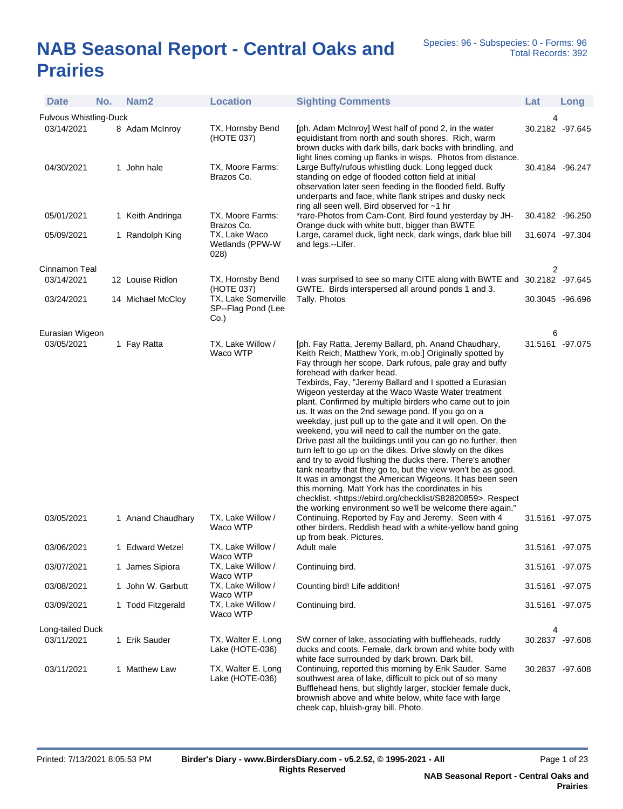## **NAB Seasonal Report - Central Oaks and Prairies**

| <b>Date</b>                   | No. | Nam <sub>2</sub>                 | <b>Location</b>                                      | <b>Sighting Comments</b>                                                                                                                                                                                                                                                                                                                                                                                                                                                                                                                                                                                                                                                                                                                                                                                                                                                                                                                                                                                                                                                                                                               | Lat                                | Long |
|-------------------------------|-----|----------------------------------|------------------------------------------------------|----------------------------------------------------------------------------------------------------------------------------------------------------------------------------------------------------------------------------------------------------------------------------------------------------------------------------------------------------------------------------------------------------------------------------------------------------------------------------------------------------------------------------------------------------------------------------------------------------------------------------------------------------------------------------------------------------------------------------------------------------------------------------------------------------------------------------------------------------------------------------------------------------------------------------------------------------------------------------------------------------------------------------------------------------------------------------------------------------------------------------------------|------------------------------------|------|
| <b>Fulvous Whistling-Duck</b> |     |                                  |                                                      |                                                                                                                                                                                                                                                                                                                                                                                                                                                                                                                                                                                                                                                                                                                                                                                                                                                                                                                                                                                                                                                                                                                                        | 4                                  |      |
| 03/14/2021                    |     | 8 Adam McInroy                   | TX, Hornsby Bend<br>(HOTE 037)                       | [ph. Adam McInroy] West half of pond 2, in the water<br>equidistant from north and south shores. Rich, warm<br>brown ducks with dark bills, dark backs with brindling, and<br>light lines coming up flanks in wisps. Photos from distance.                                                                                                                                                                                                                                                                                                                                                                                                                                                                                                                                                                                                                                                                                                                                                                                                                                                                                             | 30.2182 -97.645                    |      |
| 04/30/2021                    |     | 1 John hale                      | TX, Moore Farms:<br>Brazos Co.                       | Large Buffy/rufous whistling duck. Long legged duck<br>standing on edge of flooded cotton field at initial<br>observation later seen feeding in the flooded field. Buffy<br>underparts and face, white flank stripes and dusky neck<br>ring all seen well. Bird observed for ~1 hr                                                                                                                                                                                                                                                                                                                                                                                                                                                                                                                                                                                                                                                                                                                                                                                                                                                     | 30.4184 -96.247                    |      |
| 05/01/2021                    |     | 1 Keith Andringa                 | TX, Moore Farms:<br>Brazos Co.                       | *rare-Photos from Cam-Cont. Bird found yesterday by JH-<br>Orange duck with white butt, bigger than BWTE                                                                                                                                                                                                                                                                                                                                                                                                                                                                                                                                                                                                                                                                                                                                                                                                                                                                                                                                                                                                                               | 30.4182 -96.250                    |      |
| 05/09/2021                    |     | 1 Randolph King                  | TX, Lake Waco<br>Wetlands (PPW-W<br>028)             | Large, caramel duck, light neck, dark wings, dark blue bill<br>and legs.--Lifer.                                                                                                                                                                                                                                                                                                                                                                                                                                                                                                                                                                                                                                                                                                                                                                                                                                                                                                                                                                                                                                                       | 31.6074 -97.304                    |      |
| Cinnamon Teal                 |     |                                  |                                                      |                                                                                                                                                                                                                                                                                                                                                                                                                                                                                                                                                                                                                                                                                                                                                                                                                                                                                                                                                                                                                                                                                                                                        | 2                                  |      |
| 03/14/2021                    |     | 12 Louise Ridlon                 | TX, Hornsby Bend<br>(HOTE 037)                       | I was surprised to see so many CITE along with BWTE and 30.2182 -97.645<br>GWTE. Birds interspersed all around ponds 1 and 3.                                                                                                                                                                                                                                                                                                                                                                                                                                                                                                                                                                                                                                                                                                                                                                                                                                                                                                                                                                                                          |                                    |      |
| 03/24/2021                    |     | 14 Michael McCloy                | TX, Lake Somerville<br>SP--Flag Pond (Lee<br>$Co.$ ) | Tally. Photos                                                                                                                                                                                                                                                                                                                                                                                                                                                                                                                                                                                                                                                                                                                                                                                                                                                                                                                                                                                                                                                                                                                          | 30.3045 -96.696                    |      |
| Eurasian Wigeon               |     |                                  |                                                      |                                                                                                                                                                                                                                                                                                                                                                                                                                                                                                                                                                                                                                                                                                                                                                                                                                                                                                                                                                                                                                                                                                                                        | 6                                  |      |
| 03/05/2021<br>03/05/2021      |     | 1 Fay Ratta<br>1 Anand Chaudhary | TX, Lake Willow /<br>Waco WTP<br>TX, Lake Willow /   | [ph. Fay Ratta, Jeremy Ballard, ph. Anand Chaudhary,<br>Keith Reich, Matthew York, m.ob.] Originally spotted by<br>Fay through her scope. Dark rufous, pale gray and buffy<br>forehead with darker head.<br>Texbirds, Fay, "Jeremy Ballard and I spotted a Eurasian<br>Wigeon yesterday at the Waco Waste Water treatment<br>plant. Confirmed by multiple birders who came out to join<br>us. It was on the 2nd sewage pond. If you go on a<br>weekday, just pull up to the gate and it will open. On the<br>weekend, you will need to call the number on the gate.<br>Drive past all the buildings until you can go no further, then<br>turn left to go up on the dikes. Drive slowly on the dikes<br>and try to avoid flushing the ducks there. There's another<br>tank nearby that they go to, but the view won't be as good.<br>It was in amongst the American Wigeons. It has been seen<br>this morning. Matt York has the coordinates in his<br>checklist. < https://ebird.org/checklist/S82820859>. Respect<br>the working environment so we'll be welcome there again."<br>Continuing. Reported by Fay and Jeremy. Seen with 4 | 31.5161 -97.075<br>31.5161 -97.075 |      |
|                               |     |                                  | Waco WTP                                             | other birders. Reddish head with a white-yellow band going<br>up from beak. Pictures.                                                                                                                                                                                                                                                                                                                                                                                                                                                                                                                                                                                                                                                                                                                                                                                                                                                                                                                                                                                                                                                  |                                    |      |
| 03/06/2021                    |     | 1 Edward Wetzel                  | TX, Lake Willow /<br>Waco WTP                        | Adult male                                                                                                                                                                                                                                                                                                                                                                                                                                                                                                                                                                                                                                                                                                                                                                                                                                                                                                                                                                                                                                                                                                                             | 31.5161 -97.075                    |      |
| 03/07/2021                    |     | 1 James Sipiora                  | TX, Lake Willow /<br>Waco WTP                        | Continuing bird.                                                                                                                                                                                                                                                                                                                                                                                                                                                                                                                                                                                                                                                                                                                                                                                                                                                                                                                                                                                                                                                                                                                       | 31.5161 -97.075                    |      |
| 03/08/2021                    |     | 1 John W. Garbutt                | TX, Lake Willow /<br>Waco WTP                        | Counting bird! Life addition!                                                                                                                                                                                                                                                                                                                                                                                                                                                                                                                                                                                                                                                                                                                                                                                                                                                                                                                                                                                                                                                                                                          | 31.5161 -97.075                    |      |
| 03/09/2021                    |     | 1 Todd Fitzgerald                | TX, Lake Willow /<br>Waco WTP                        | Continuing bird.                                                                                                                                                                                                                                                                                                                                                                                                                                                                                                                                                                                                                                                                                                                                                                                                                                                                                                                                                                                                                                                                                                                       | 31.5161 -97.075                    |      |
| Long-tailed Duck              |     |                                  |                                                      |                                                                                                                                                                                                                                                                                                                                                                                                                                                                                                                                                                                                                                                                                                                                                                                                                                                                                                                                                                                                                                                                                                                                        | 4                                  |      |
| 03/11/2021                    |     | 1 Erik Sauder                    | TX, Walter E. Long<br>Lake (HOTE-036)                | SW corner of lake, associating with buffleheads, ruddy<br>ducks and coots. Female, dark brown and white body with<br>white face surrounded by dark brown. Dark bill.                                                                                                                                                                                                                                                                                                                                                                                                                                                                                                                                                                                                                                                                                                                                                                                                                                                                                                                                                                   | 30.2837 -97.608                    |      |
| 03/11/2021                    |     | 1 Matthew Law                    | TX, Walter E. Long<br>Lake (HOTE-036)                | Continuing, reported this morning by Erik Sauder. Same<br>southwest area of lake, difficult to pick out of so many<br>Bufflehead hens, but slightly larger, stockier female duck,<br>brownish above and white below, white face with large<br>cheek cap, bluish-gray bill. Photo.                                                                                                                                                                                                                                                                                                                                                                                                                                                                                                                                                                                                                                                                                                                                                                                                                                                      | 30.2837 -97.608                    |      |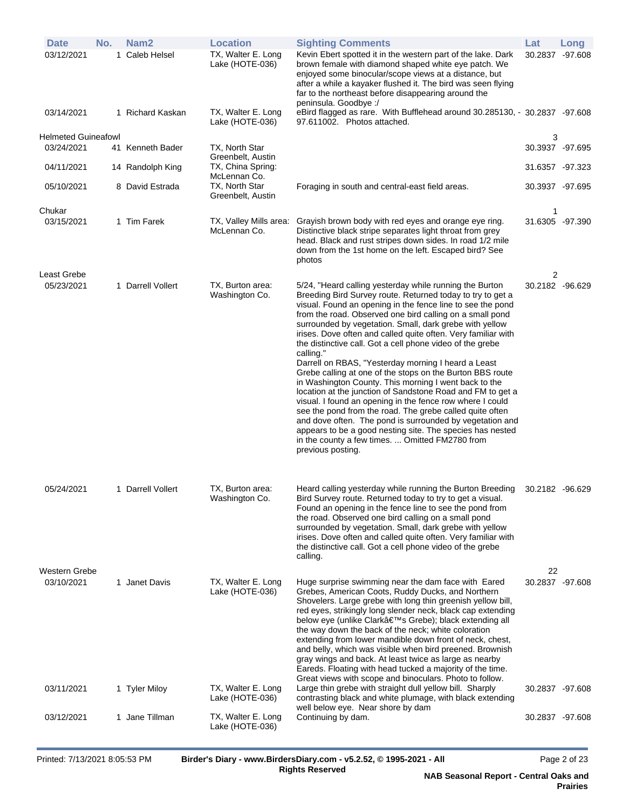| <b>Date</b>                 | No. | Nam <sub>2</sub>  | <b>Location</b>                        | <b>Sighting Comments</b>                                                                                                                                                                                                                                                                                                                                                                                                                                                                                                                                                                                                                                                                                                                                                                                                                                                                                                                                                                                                   | Lat                   | Long |
|-----------------------------|-----|-------------------|----------------------------------------|----------------------------------------------------------------------------------------------------------------------------------------------------------------------------------------------------------------------------------------------------------------------------------------------------------------------------------------------------------------------------------------------------------------------------------------------------------------------------------------------------------------------------------------------------------------------------------------------------------------------------------------------------------------------------------------------------------------------------------------------------------------------------------------------------------------------------------------------------------------------------------------------------------------------------------------------------------------------------------------------------------------------------|-----------------------|------|
| 03/12/2021                  |     | 1 Caleb Helsel    | TX, Walter E. Long<br>Lake (HOTE-036)  | Kevin Ebert spotted it in the western part of the lake. Dark<br>brown female with diamond shaped white eye patch. We<br>enjoyed some binocular/scope views at a distance, but<br>after a while a kayaker flushed it. The bird was seen flying<br>far to the northeast before disappearing around the<br>peninsula. Goodbye:/                                                                                                                                                                                                                                                                                                                                                                                                                                                                                                                                                                                                                                                                                               | 30.2837 -97.608       |      |
| 03/14/2021                  |     | 1 Richard Kaskan  | TX, Walter E. Long<br>Lake (HOTE-036)  | eBird flagged as rare. With Bufflehead around 30.285130, - 30.2837 -97.608<br>97.611002. Photos attached.                                                                                                                                                                                                                                                                                                                                                                                                                                                                                                                                                                                                                                                                                                                                                                                                                                                                                                                  |                       |      |
| Helmeted Guineafowl         |     |                   |                                        |                                                                                                                                                                                                                                                                                                                                                                                                                                                                                                                                                                                                                                                                                                                                                                                                                                                                                                                                                                                                                            | 3                     |      |
| 03/24/2021                  |     | 41 Kenneth Bader  | TX, North Star<br>Greenbelt, Austin    |                                                                                                                                                                                                                                                                                                                                                                                                                                                                                                                                                                                                                                                                                                                                                                                                                                                                                                                                                                                                                            | 30.3937 -97.695       |      |
| 04/11/2021                  |     | 14 Randolph King  | TX, China Spring:<br>McLennan Co.      |                                                                                                                                                                                                                                                                                                                                                                                                                                                                                                                                                                                                                                                                                                                                                                                                                                                                                                                                                                                                                            | 31.6357 -97.323       |      |
| 05/10/2021                  |     | 8 David Estrada   | TX, North Star<br>Greenbelt, Austin    | Foraging in south and central-east field areas.                                                                                                                                                                                                                                                                                                                                                                                                                                                                                                                                                                                                                                                                                                                                                                                                                                                                                                                                                                            | 30.3937 -97.695       |      |
| Chukar                      |     |                   |                                        |                                                                                                                                                                                                                                                                                                                                                                                                                                                                                                                                                                                                                                                                                                                                                                                                                                                                                                                                                                                                                            | 1                     |      |
| 03/15/2021                  |     | 1 Tim Farek       | TX, Valley Mills area:<br>McLennan Co. | Grayish brown body with red eyes and orange eye ring.<br>Distinctive black stripe separates light throat from grey<br>head. Black and rust stripes down sides. In road 1/2 mile<br>down from the 1st home on the left. Escaped bird? See<br>photos                                                                                                                                                                                                                                                                                                                                                                                                                                                                                                                                                                                                                                                                                                                                                                         | 31.6305 -97.390       |      |
| Least Grebe<br>05/23/2021   |     | 1 Darrell Vollert | TX, Burton area:<br>Washington Co.     | 5/24, "Heard calling yesterday while running the Burton<br>Breeding Bird Survey route. Returned today to try to get a<br>visual. Found an opening in the fence line to see the pond<br>from the road. Observed one bird calling on a small pond<br>surrounded by vegetation. Small, dark grebe with yellow<br>irises. Dove often and called quite often. Very familiar with<br>the distinctive call. Got a cell phone video of the grebe<br>calling."<br>Darrell on RBAS, "Yesterday morning I heard a Least<br>Grebe calling at one of the stops on the Burton BBS route<br>in Washington County. This morning I went back to the<br>location at the junction of Sandstone Road and FM to get a<br>visual. I found an opening in the fence row where I could<br>see the pond from the road. The grebe called quite often<br>and dove often. The pond is surrounded by vegetation and<br>appears to be a good nesting site. The species has nested<br>in the county a few times.  Omitted FM2780 from<br>previous posting. | 2<br>30.2182 -96.629  |      |
| 05/24/2021<br>Western Grebe |     | 1 Darrell Vollert | TX, Burton area:<br>Washington Co.     | Heard calling yesterday while running the Burton Breeding<br>Bird Survey route. Returned today to try to get a visual.<br>Found an opening in the fence line to see the pond from<br>the road. Observed one bird calling on a small pond<br>surrounded by vegetation. Small, dark grebe with yellow<br>irises. Dove often and called quite often. Very familiar with<br>the distinctive call. Got a cell phone video of the grebe<br>calling.                                                                                                                                                                                                                                                                                                                                                                                                                                                                                                                                                                              | 30.2182 -96.629<br>22 |      |
| 03/10/2021                  |     | 1 Janet Davis     | TX, Walter E. Long<br>Lake (HOTE-036)  | Huge surprise swimming near the dam face with Eared<br>Grebes, American Coots, Ruddy Ducks, and Northern<br>Shovelers. Large grebe with long thin greenish yellow bill,<br>red eyes, strikingly long slender neck, black cap extending<br>below eye (unlike Clark's Grebe); black extending all<br>the way down the back of the neck; white coloration<br>extending from lower mandible down front of neck, chest,<br>and belly, which was visible when bird preened. Brownish<br>gray wings and back. At least twice as large as nearby<br>Eareds. Floating with head tucked a majority of the time.<br>Great views with scope and binoculars. Photo to follow.                                                                                                                                                                                                                                                                                                                                                           | 30.2837 -97.608       |      |
| 03/11/2021                  |     | 1 Tyler Miloy     | TX, Walter E. Long<br>Lake (HOTE-036)  | Large thin grebe with straight dull yellow bill. Sharply<br>contrasting black and white plumage, with black extending                                                                                                                                                                                                                                                                                                                                                                                                                                                                                                                                                                                                                                                                                                                                                                                                                                                                                                      | 30.2837 -97.608       |      |
| 03/12/2021                  |     | 1 Jane Tillman    | TX, Walter E. Long<br>Lake (HOTE-036)  | well below eye. Near shore by dam<br>Continuing by dam.                                                                                                                                                                                                                                                                                                                                                                                                                                                                                                                                                                                                                                                                                                                                                                                                                                                                                                                                                                    | 30.2837 -97.608       |      |
|                             |     |                   |                                        |                                                                                                                                                                                                                                                                                                                                                                                                                                                                                                                                                                                                                                                                                                                                                                                                                                                                                                                                                                                                                            |                       |      |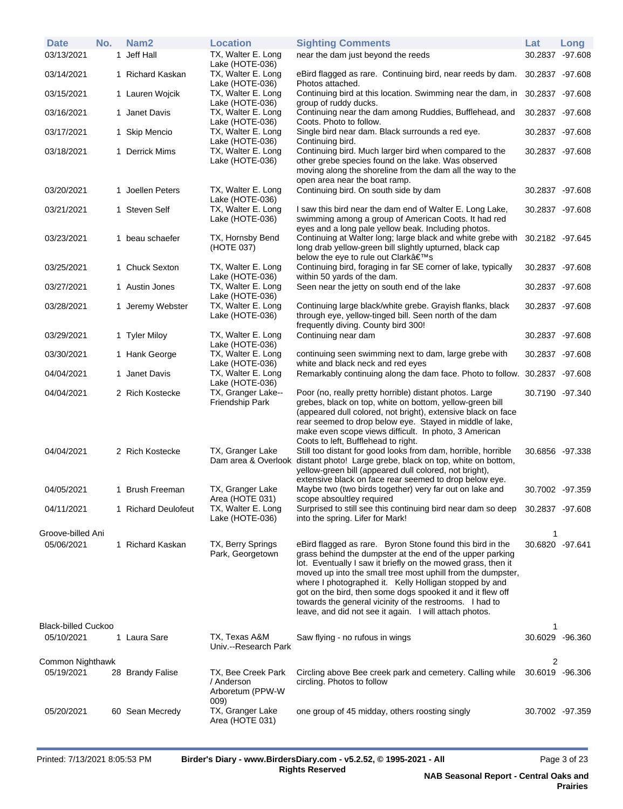| <b>Date</b><br>03/13/2021      | No. | Nam <sub>2</sub><br>1 Jeff Hall | <b>Location</b><br>TX, Walter E. Long                    | <b>Sighting Comments</b><br>near the dam just beyond the reeds                                                                                                                                                                                                                                                                                                                                                                                                                                     | Lat                  | Long<br>30.2837 -97.608 |
|--------------------------------|-----|---------------------------------|----------------------------------------------------------|----------------------------------------------------------------------------------------------------------------------------------------------------------------------------------------------------------------------------------------------------------------------------------------------------------------------------------------------------------------------------------------------------------------------------------------------------------------------------------------------------|----------------------|-------------------------|
| 03/14/2021                     |     | 1 Richard Kaskan                | Lake (HOTE-036)<br>TX, Walter E. Long<br>Lake (HOTE-036) | eBird flagged as rare. Continuing bird, near reeds by dam. 30.2837 -97.608<br>Photos attached.                                                                                                                                                                                                                                                                                                                                                                                                     |                      |                         |
| 03/15/2021                     |     | 1 Lauren Wojcik                 | TX, Walter E. Long<br>Lake (HOTE-036)                    | Continuing bird at this location. Swimming near the dam, in 30.2837 -97.608<br>group of ruddy ducks.                                                                                                                                                                                                                                                                                                                                                                                               |                      |                         |
| 03/16/2021                     |     | 1 Janet Davis                   | TX, Walter E. Long<br>Lake (HOTE-036)                    | Continuing near the dam among Ruddies, Bufflehead, and<br>Coots. Photo to follow.                                                                                                                                                                                                                                                                                                                                                                                                                  | 30.2837 -97.608      |                         |
| 03/17/2021                     |     | 1 Skip Mencio                   | TX, Walter E. Long<br>Lake (HOTE-036)                    | Single bird near dam. Black surrounds a red eye.<br>Continuing bird.                                                                                                                                                                                                                                                                                                                                                                                                                               | 30.2837 -97.608      |                         |
| 03/18/2021                     |     | 1 Derrick Mims                  | TX, Walter E. Long<br>Lake (HOTE-036)                    | Continuing bird. Much larger bird when compared to the<br>other grebe species found on the lake. Was observed<br>moving along the shoreline from the dam all the way to the<br>open area near the boat ramp.                                                                                                                                                                                                                                                                                       | 30.2837 -97.608      |                         |
| 03/20/2021                     |     | 1 Joellen Peters                | TX, Walter E. Long<br>Lake (HOTE-036)                    | Continuing bird. On south side by dam                                                                                                                                                                                                                                                                                                                                                                                                                                                              |                      | 30.2837 -97.608         |
| 03/21/2021                     |     | 1 Steven Self                   | TX, Walter E. Long<br>Lake (HOTE-036)                    | I saw this bird near the dam end of Walter E. Long Lake,<br>swimming among a group of American Coots. It had red<br>eyes and a long pale yellow beak. Including photos.                                                                                                                                                                                                                                                                                                                            | 30.2837 -97.608      |                         |
| 03/23/2021                     |     | 1 beau schaefer                 | TX, Hornsby Bend<br>(HOTE 037)                           | Continuing at Walter long; large black and white grebe with<br>long drab yellow-green bill slightly upturned, black cap<br>below the eye to rule out Clark's                                                                                                                                                                                                                                                                                                                                       | 30.2182 -97.645      |                         |
| 03/25/2021                     |     | 1 Chuck Sexton                  | TX, Walter E. Long<br>Lake (HOTE-036)                    | Continuing bird, foraging in far SE corner of lake, typically<br>within 50 yards of the dam.                                                                                                                                                                                                                                                                                                                                                                                                       |                      | 30.2837 -97.608         |
| 03/27/2021                     |     | 1 Austin Jones                  | TX, Walter E. Long<br>Lake (HOTE-036)                    | Seen near the jetty on south end of the lake                                                                                                                                                                                                                                                                                                                                                                                                                                                       |                      | 30.2837 -97.608         |
| 03/28/2021                     |     | 1 Jeremy Webster                | TX, Walter E. Long<br>Lake (HOTE-036)                    | Continuing large black/white grebe. Grayish flanks, black<br>through eye, yellow-tinged bill. Seen north of the dam<br>frequently diving. County bird 300!                                                                                                                                                                                                                                                                                                                                         | 30.2837 -97.608      |                         |
| 03/29/2021                     |     | 1 Tyler Miloy                   | TX, Walter E. Long<br>Lake (HOTE-036)                    | Continuing near dam                                                                                                                                                                                                                                                                                                                                                                                                                                                                                |                      | 30.2837 -97.608         |
| 03/30/2021                     |     | 1 Hank George                   | TX, Walter E. Long<br>Lake (HOTE-036)                    | continuing seen swimming next to dam, large grebe with<br>white and black neck and red eyes                                                                                                                                                                                                                                                                                                                                                                                                        |                      | 30.2837 -97.608         |
| 04/04/2021                     |     | 1 Janet Davis                   | TX, Walter E. Long<br>Lake (HOTE-036)                    | Remarkably continuing along the dam face. Photo to follow. 30.2837 -97.608                                                                                                                                                                                                                                                                                                                                                                                                                         |                      |                         |
| 04/04/2021                     |     | 2 Rich Kostecke                 | TX, Granger Lake--<br>Friendship Park                    | Poor (no, really pretty horrible) distant photos. Large<br>grebes, black on top, white on bottom, yellow-green bill<br>(appeared dull colored, not bright), extensive black on face<br>rear seemed to drop below eye. Stayed in middle of lake,<br>make even scope views difficult. In photo, 3 American<br>Coots to left, Bufflehead to right.                                                                                                                                                    |                      | 30.7190 -97.340         |
| 04/04/2021                     |     | 2 Rich Kostecke                 | TX, Granger Lake<br>Dam area & Overlook                  | Still too distant for good looks from dam, horrible, horrible<br>distant photo! Large grebe, black on top, white on bottom,<br>yellow-green bill (appeared dull colored, not bright),<br>extensive black on face rear seemed to drop below eye.                                                                                                                                                                                                                                                    |                      | 30.6856 -97.338         |
| 04/05/2021                     |     | 1 Brush Freeman                 | TX, Granger Lake<br>Area (HOTE 031)                      | Maybe two (two birds together) very far out on lake and<br>scope absoultley required                                                                                                                                                                                                                                                                                                                                                                                                               |                      | 30.7002 -97.359         |
| 04/11/2021                     |     | 1 Richard Deulofeut             | TX, Walter E. Long<br>Lake (HOTE-036)                    | Surprised to still see this continuing bird near dam so deep 30.2837 -97.608<br>into the spring. Lifer for Mark!                                                                                                                                                                                                                                                                                                                                                                                   |                      |                         |
| Groove-billed Ani              |     |                                 |                                                          |                                                                                                                                                                                                                                                                                                                                                                                                                                                                                                    | 1                    |                         |
| 05/06/2021                     |     | 1 Richard Kaskan                | TX, Berry Springs<br>Park, Georgetown                    | eBird flagged as rare. Byron Stone found this bird in the<br>grass behind the dumpster at the end of the upper parking<br>lot. Eventually I saw it briefly on the mowed grass, then it<br>moved up into the small tree most uphill from the dumpster,<br>where I photographed it. Kelly Holligan stopped by and<br>got on the bird, then some dogs spooked it and it flew off<br>towards the general vicinity of the restrooms. I had to<br>leave, and did not see it again. I will attach photos. | 30.6820 -97.641      |                         |
| <b>Black-billed Cuckoo</b>     |     |                                 |                                                          |                                                                                                                                                                                                                                                                                                                                                                                                                                                                                                    | 1                    |                         |
| 05/10/2021                     |     | 1 Laura Sare                    | TX, Texas A&M<br>Univ.--Research Park                    | Saw flying - no rufous in wings                                                                                                                                                                                                                                                                                                                                                                                                                                                                    |                      | 30.6029 -96.360         |
| Common Nighthawk<br>05/19/2021 |     | 28 Brandy Falise                | TX, Bee Creek Park<br>/ Anderson<br>Arboretum (PPW-W     | Circling above Bee creek park and cemetery. Calling while<br>circling. Photos to follow                                                                                                                                                                                                                                                                                                                                                                                                            | 2<br>30.6019 -96.306 |                         |
| 05/20/2021                     |     | 60 Sean Mecredy                 | 009)<br>TX, Granger Lake<br>Area (HOTE 031)              | one group of 45 midday, others roosting singly                                                                                                                                                                                                                                                                                                                                                                                                                                                     |                      | 30.7002 -97.359         |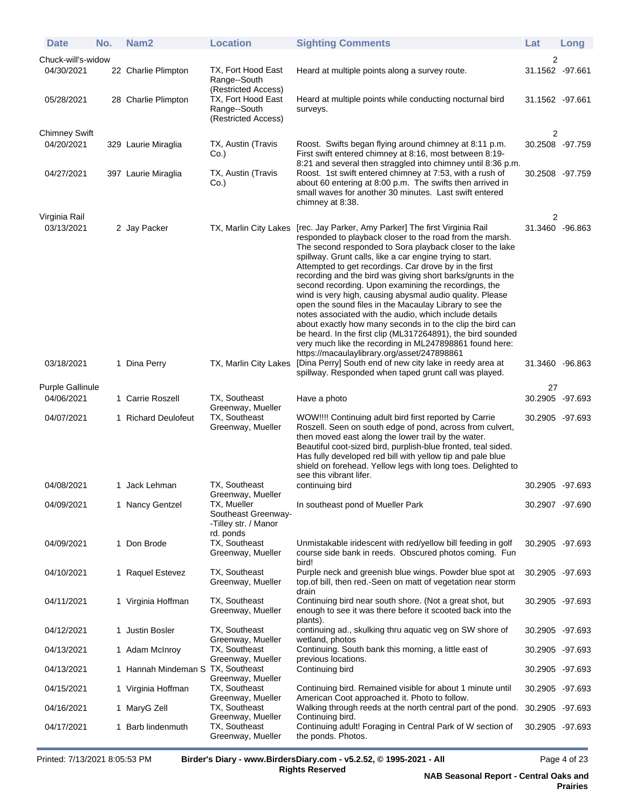| <b>Date</b>                 | No. | Nam <sub>2</sub>                        | <b>Location</b>                                                                              | <b>Sighting Comments</b>                                                                                                                                                                                                                                                                                                                                                                                                                                                                                                                                                                                                                                                                                                                                                                                                                            | Lat                                | Long |
|-----------------------------|-----|-----------------------------------------|----------------------------------------------------------------------------------------------|-----------------------------------------------------------------------------------------------------------------------------------------------------------------------------------------------------------------------------------------------------------------------------------------------------------------------------------------------------------------------------------------------------------------------------------------------------------------------------------------------------------------------------------------------------------------------------------------------------------------------------------------------------------------------------------------------------------------------------------------------------------------------------------------------------------------------------------------------------|------------------------------------|------|
| Chuck-will's-widow          |     |                                         |                                                                                              |                                                                                                                                                                                                                                                                                                                                                                                                                                                                                                                                                                                                                                                                                                                                                                                                                                                     | 2                                  |      |
| 04/30/2021                  |     | 22 Charlie Plimpton                     | TX, Fort Hood East<br>Range--South<br>(Restricted Access)                                    | Heard at multiple points along a survey route.                                                                                                                                                                                                                                                                                                                                                                                                                                                                                                                                                                                                                                                                                                                                                                                                      | 31.1562 -97.661                    |      |
| 05/28/2021                  |     | 28 Charlie Plimpton                     | TX, Fort Hood East<br>Range--South<br>(Restricted Access)                                    | Heard at multiple points while conducting nocturnal bird<br>surveys.                                                                                                                                                                                                                                                                                                                                                                                                                                                                                                                                                                                                                                                                                                                                                                                | 31.1562 -97.661                    |      |
| <b>Chimney Swift</b>        |     |                                         |                                                                                              |                                                                                                                                                                                                                                                                                                                                                                                                                                                                                                                                                                                                                                                                                                                                                                                                                                                     | 2                                  |      |
| 04/20/2021                  |     | 329 Laurie Miraglia                     | TX, Austin (Travis<br>Co.)                                                                   | Roost. Swifts began flying around chimney at 8:11 p.m.<br>First swift entered chimney at 8:16, most between 8:19-<br>8:21 and several then straggled into chimney until 8:36 p.m.                                                                                                                                                                                                                                                                                                                                                                                                                                                                                                                                                                                                                                                                   | 30.2508 -97.759                    |      |
| 04/27/2021                  |     | 397 Laurie Miraglia                     | TX, Austin (Travis<br>Co.)                                                                   | Roost. 1st swift entered chimney at 7:53, with a rush of<br>about 60 entering at 8:00 p.m. The swifts then arrived in<br>small waves for another 30 minutes. Last swift entered<br>chimney at 8:38.                                                                                                                                                                                                                                                                                                                                                                                                                                                                                                                                                                                                                                                 | 30.2508 -97.759                    |      |
| Virginia Rail<br>03/13/2021 |     | 2 Jay Packer                            | TX, Marlin City Lakes                                                                        | [rec. Jay Parker, Amy Parker] The first Virginia Rail<br>responded to playback closer to the road from the marsh.<br>The second responded to Sora playback closer to the lake<br>spillway. Grunt calls, like a car engine trying to start.<br>Attempted to get recordings. Car drove by in the first<br>recording and the bird was giving short barks/grunts in the<br>second recording. Upon examining the recordings, the<br>wind is very high, causing abysmal audio quality. Please<br>open the sound files in the Macaulay Library to see the<br>notes associated with the audio, which include details<br>about exactly how many seconds in to the clip the bird can<br>be heard. In the first clip (ML317264891), the bird sounded<br>very much like the recording in ML247898861 found here:<br>https://macaulaylibrary.org/asset/247898861 | 2<br>31.3460 -96.863               |      |
| 03/18/2021                  |     | 1 Dina Perry                            | TX, Marlin City Lakes                                                                        | [Dina Perry] South end of new city lake in reedy area at<br>spillway. Responded when taped grunt call was played.                                                                                                                                                                                                                                                                                                                                                                                                                                                                                                                                                                                                                                                                                                                                   | 31.3460 -96.863                    |      |
| <b>Purple Gallinule</b>     |     |                                         |                                                                                              |                                                                                                                                                                                                                                                                                                                                                                                                                                                                                                                                                                                                                                                                                                                                                                                                                                                     | 27                                 |      |
| 04/06/2021<br>04/07/2021    |     | 1 Carrie Roszell<br>1 Richard Deulofeut | TX, Southeast<br>Greenway, Mueller<br>TX, Southeast                                          | Have a photo<br>WOW!!!! Continuing adult bird first reported by Carrie                                                                                                                                                                                                                                                                                                                                                                                                                                                                                                                                                                                                                                                                                                                                                                              | 30.2905 -97.693<br>30.2905 -97.693 |      |
|                             |     |                                         | Greenway, Mueller                                                                            | Roszell. Seen on south edge of pond, across from culvert,<br>then moved east along the lower trail by the water.<br>Beautiful coot-sized bird, purplish-blue fronted, teal sided.<br>Has fully developed red bill with yellow tip and pale blue<br>shield on forehead. Yellow legs with long toes. Delighted to<br>see this vibrant lifer.                                                                                                                                                                                                                                                                                                                                                                                                                                                                                                          |                                    |      |
| 04/08/2021                  |     | 1 Jack Lehman                           | TX, Southeast                                                                                | continuing bird                                                                                                                                                                                                                                                                                                                                                                                                                                                                                                                                                                                                                                                                                                                                                                                                                                     | 30.2905 -97.693                    |      |
| 04/09/2021                  |     | 1 Nancy Gentzel                         | Greenway, Mueller<br>TX, Mueller<br>Southeast Greenway-<br>-Tilley str. / Manor<br>rd. ponds | In southeast pond of Mueller Park                                                                                                                                                                                                                                                                                                                                                                                                                                                                                                                                                                                                                                                                                                                                                                                                                   | 30.2907 -97.690                    |      |
| 04/09/2021                  |     | 1 Don Brode                             | TX, Southeast<br>Greenway, Mueller                                                           | Unmistakable iridescent with red/yellow bill feeding in golf<br>course side bank in reeds. Obscured photos coming. Fun<br>bird!                                                                                                                                                                                                                                                                                                                                                                                                                                                                                                                                                                                                                                                                                                                     | 30.2905 -97.693                    |      |
| 04/10/2021                  |     | 1 Raquel Estevez                        | TX, Southeast<br>Greenway, Mueller                                                           | Purple neck and greenish blue wings. Powder blue spot at<br>top of bill, then red.-Seen on matt of vegetation near storm<br>drain                                                                                                                                                                                                                                                                                                                                                                                                                                                                                                                                                                                                                                                                                                                   | 30.2905 -97.693                    |      |
| 04/11/2021                  |     | 1 Virginia Hoffman                      | TX, Southeast<br>Greenway, Mueller                                                           | Continuing bird near south shore. (Not a great shot, but<br>enough to see it was there before it scooted back into the<br>plants).                                                                                                                                                                                                                                                                                                                                                                                                                                                                                                                                                                                                                                                                                                                  | 30.2905 -97.693                    |      |
| 04/12/2021                  |     | 1 Justin Bosler                         | TX, Southeast<br>Greenway, Mueller                                                           | continuing ad., skulking thru aquatic veg on SW shore of<br>wetland, photos                                                                                                                                                                                                                                                                                                                                                                                                                                                                                                                                                                                                                                                                                                                                                                         | 30.2905 -97.693                    |      |
| 04/13/2021                  |     | 1 Adam McInroy                          | TX, Southeast<br>Greenway, Mueller                                                           | Continuing. South bank this morning, a little east of<br>previous locations.                                                                                                                                                                                                                                                                                                                                                                                                                                                                                                                                                                                                                                                                                                                                                                        | 30.2905 -97.693                    |      |
| 04/13/2021                  |     | 1 Hannah Mindeman S TX, Southeast       | Greenway, Mueller                                                                            | Continuing bird                                                                                                                                                                                                                                                                                                                                                                                                                                                                                                                                                                                                                                                                                                                                                                                                                                     | 30.2905 -97.693                    |      |
| 04/15/2021                  |     | 1 Virginia Hoffman                      | TX, Southeast<br>Greenway, Mueller                                                           | Continuing bird. Remained visible for about 1 minute until<br>American Coot approached it. Photo to follow.                                                                                                                                                                                                                                                                                                                                                                                                                                                                                                                                                                                                                                                                                                                                         | 30.2905 -97.693                    |      |
| 04/16/2021                  |     | 1 MaryG Zell                            | TX, Southeast<br>Greenway, Mueller                                                           | Walking through reeds at the north central part of the pond.<br>Continuing bird.                                                                                                                                                                                                                                                                                                                                                                                                                                                                                                                                                                                                                                                                                                                                                                    | 30.2905 -97.693                    |      |
| 04/17/2021                  |     | 1 Barb lindenmuth                       | TX, Southeast<br>Greenway, Mueller                                                           | Continuing adult! Foraging in Central Park of W section of<br>the ponds. Photos.                                                                                                                                                                                                                                                                                                                                                                                                                                                                                                                                                                                                                                                                                                                                                                    | 30.2905 -97.693                    |      |

Printed: 7/13/2021 8:05:53 PM **Birder's Diary - www.BirdersDiary.com - v5.2.52, © 1995-2021 - All**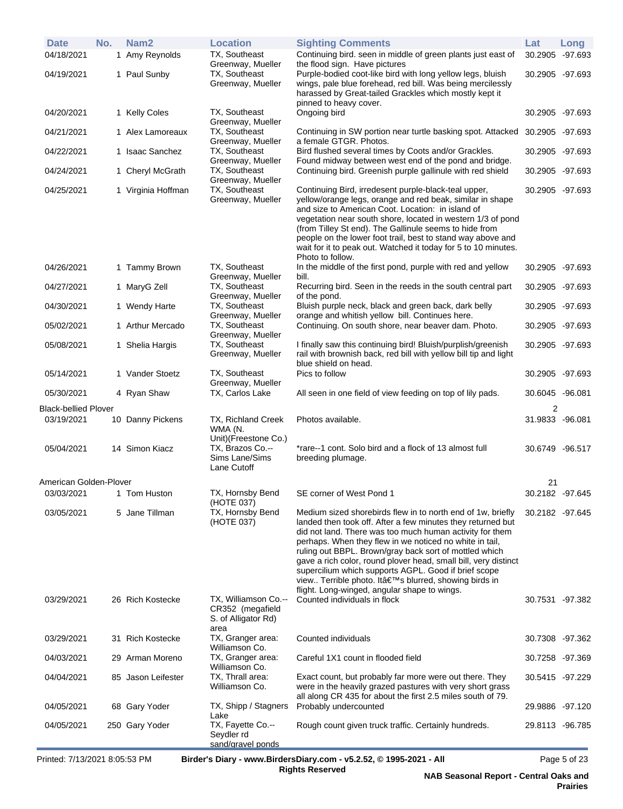| <b>Date</b>                 | No. | Nam <sub>2</sub>   | <b>Location</b>                                                           | <b>Sighting Comments</b>                                                                                                                                                                                                                                                                                                                                                                                                                                                                                                                      | Lat             | Long    |
|-----------------------------|-----|--------------------|---------------------------------------------------------------------------|-----------------------------------------------------------------------------------------------------------------------------------------------------------------------------------------------------------------------------------------------------------------------------------------------------------------------------------------------------------------------------------------------------------------------------------------------------------------------------------------------------------------------------------------------|-----------------|---------|
| 04/18/2021                  |     | 1 Amy Reynolds     | TX, Southeast<br>Greenway, Mueller                                        | Continuing bird. seen in middle of green plants just east of<br>the flood sign. Have pictures                                                                                                                                                                                                                                                                                                                                                                                                                                                 | 30.2905         | -97.693 |
| 04/19/2021                  |     | 1 Paul Sunby       | TX, Southeast<br>Greenway, Mueller                                        | Purple-bodied coot-like bird with long yellow legs, bluish<br>wings, pale blue forehead, red bill. Was being mercilessly<br>harassed by Great-tailed Grackles which mostly kept it<br>pinned to heavy cover.                                                                                                                                                                                                                                                                                                                                  | 30.2905 -97.693 |         |
| 04/20/2021                  |     | 1 Kelly Coles      | TX, Southeast<br>Greenway, Mueller                                        | Ongoing bird                                                                                                                                                                                                                                                                                                                                                                                                                                                                                                                                  | 30.2905 -97.693 |         |
| 04/21/2021                  |     | 1 Alex Lamoreaux   | TX, Southeast<br>Greenway, Mueller                                        | Continuing in SW portion near turtle basking spot. Attacked<br>a female GTGR. Photos.                                                                                                                                                                                                                                                                                                                                                                                                                                                         | 30.2905 -97.693 |         |
| 04/22/2021                  |     | 1 Isaac Sanchez    | TX, Southeast<br>Greenway, Mueller                                        | Bird flushed several times by Coots and/or Grackles.<br>Found midway between west end of the pond and bridge.                                                                                                                                                                                                                                                                                                                                                                                                                                 | 30.2905 -97.693 |         |
| 04/24/2021                  |     | 1 Cheryl McGrath   | TX, Southeast<br>Greenway, Mueller                                        | Continuing bird. Greenish purple gallinule with red shield                                                                                                                                                                                                                                                                                                                                                                                                                                                                                    | 30.2905 -97.693 |         |
| 04/25/2021                  |     | 1 Virginia Hoffman | TX, Southeast<br>Greenway, Mueller                                        | Continuing Bird, irredesent purple-black-teal upper,<br>yellow/orange legs, orange and red beak, similar in shape<br>and size to American Coot. Location: in island of<br>vegetation near south shore, located in western 1/3 of pond<br>(from Tilley St end). The Gallinule seems to hide from<br>people on the lower foot trail, best to stand way above and<br>wait for it to peak out. Watched it today for 5 to 10 minutes.<br>Photo to follow.                                                                                          | 30.2905 -97.693 |         |
| 04/26/2021                  |     | 1 Tammy Brown      | TX, Southeast<br>Greenway, Mueller                                        | In the middle of the first pond, purple with red and yellow<br>bill.                                                                                                                                                                                                                                                                                                                                                                                                                                                                          | 30.2905 -97.693 |         |
| 04/27/2021                  |     | 1 MaryG Zell       | TX, Southeast<br>Greenway, Mueller                                        | Recurring bird. Seen in the reeds in the south central part<br>of the pond.                                                                                                                                                                                                                                                                                                                                                                                                                                                                   | 30.2905 -97.693 |         |
| 04/30/2021                  |     | 1 Wendy Harte      | TX, Southeast<br>Greenway, Mueller                                        | Bluish purple neck, black and green back, dark belly<br>orange and whitish yellow bill. Continues here.                                                                                                                                                                                                                                                                                                                                                                                                                                       | 30.2905 -97.693 |         |
| 05/02/2021                  |     | 1 Arthur Mercado   | TX, Southeast<br>Greenway, Mueller                                        | Continuing. On south shore, near beaver dam. Photo.                                                                                                                                                                                                                                                                                                                                                                                                                                                                                           | 30.2905 -97.693 |         |
| 05/08/2021                  |     | 1 Shelia Hargis    | TX, Southeast<br>Greenway, Mueller                                        | I finally saw this continuing bird! Bluish/purplish/greenish<br>rail with brownish back, red bill with yellow bill tip and light<br>blue shield on head.                                                                                                                                                                                                                                                                                                                                                                                      | 30.2905 -97.693 |         |
| 05/14/2021                  |     | 1 Vander Stoetz    | TX, Southeast<br>Greenway, Mueller                                        | Pics to follow                                                                                                                                                                                                                                                                                                                                                                                                                                                                                                                                | 30.2905 -97.693 |         |
| 05/30/2021                  |     | 4 Ryan Shaw        | TX, Carlos Lake                                                           | All seen in one field of view feeding on top of lily pads.                                                                                                                                                                                                                                                                                                                                                                                                                                                                                    | 30.6045 -96.081 |         |
| <b>Black-bellied Plover</b> |     |                    |                                                                           |                                                                                                                                                                                                                                                                                                                                                                                                                                                                                                                                               | 2               |         |
| 03/19/2021                  |     | 10 Danny Pickens   | TX, Richland Creek<br>WMA (N.                                             | Photos available.                                                                                                                                                                                                                                                                                                                                                                                                                                                                                                                             | 31.9833 -96.081 |         |
| 05/04/2021                  |     | 14 Simon Kiacz     | Unit)(Freestone Co.)<br>TX, Brazos Co.--<br>Sims Lane/Sims<br>Lane Cutoff | *rare--1 cont. Solo bird and a flock of 13 almost full<br>breeding plumage.                                                                                                                                                                                                                                                                                                                                                                                                                                                                   | 30.6749 -96.517 |         |
| American Golden-Plover      |     |                    |                                                                           |                                                                                                                                                                                                                                                                                                                                                                                                                                                                                                                                               | 21              |         |
| 03/03/2021                  |     | 1 Tom Huston       | TX, Hornsby Bend<br>(HOTE 037)                                            | SE corner of West Pond 1                                                                                                                                                                                                                                                                                                                                                                                                                                                                                                                      | 30.2182 -97.645 |         |
| 03/05/2021                  |     | 5 Jane Tillman     | TX, Hornsby Bend<br>(HOTE 037)                                            | Medium sized shorebirds flew in to north end of 1w, briefly<br>landed then took off. After a few minutes they returned but<br>did not land. There was too much human activity for them<br>perhaps. When they flew in we noticed no white in tail,<br>ruling out BBPL. Brown/gray back sort of mottled which<br>gave a rich color, round plover head, small bill, very distinct<br>supercilium which supports AGPL. Good if brief scope<br>view Terrible photo. It's blurred, showing birds in<br>flight. Long-winged, angular shape to wings. | 30.2182 -97.645 |         |
| 03/29/2021                  |     | 26 Rich Kostecke   | TX, Williamson Co.--<br>CR352 (megafield<br>S. of Alligator Rd)<br>area   | Counted individuals in flock                                                                                                                                                                                                                                                                                                                                                                                                                                                                                                                  | 30.7531 -97.382 |         |
| 03/29/2021                  |     | 31 Rich Kostecke   | TX, Granger area:<br>Williamson Co.                                       | Counted individuals                                                                                                                                                                                                                                                                                                                                                                                                                                                                                                                           | 30.7308 -97.362 |         |
| 04/03/2021                  |     | 29 Arman Moreno    | TX, Granger area:<br>Williamson Co.                                       | Careful 1X1 count in flooded field                                                                                                                                                                                                                                                                                                                                                                                                                                                                                                            | 30.7258         | -97.369 |
| 04/04/2021                  |     | 85 Jason Leifester | TX, Thrall area:<br>Williamson Co.                                        | Exact count, but probably far more were out there. They<br>were in the heavily grazed pastures with very short grass<br>all along CR 435 for about the first 2.5 miles south of 79.                                                                                                                                                                                                                                                                                                                                                           | 30.5415 -97.229 |         |
| 04/05/2021                  |     | 68 Gary Yoder      | TX, Shipp / Stagners<br>Lake                                              | Probably undercounted                                                                                                                                                                                                                                                                                                                                                                                                                                                                                                                         | 29.9886 -97.120 |         |
| 04/05/2021                  |     | 250 Gary Yoder     | TX, Fayette Co.--<br>Seydler rd<br>sand/gravel ponds                      | Rough count given truck traffic. Certainly hundreds.                                                                                                                                                                                                                                                                                                                                                                                                                                                                                          | 29.8113 -96.785 |         |
|                             |     |                    |                                                                           |                                                                                                                                                                                                                                                                                                                                                                                                                                                                                                                                               |                 |         |

Printed: 7/13/2021 8:05:53 PM **Birder's Diary - www.BirdersDiary.com - v5.2.52, © 1995-2021 - All**

Page 5 of 23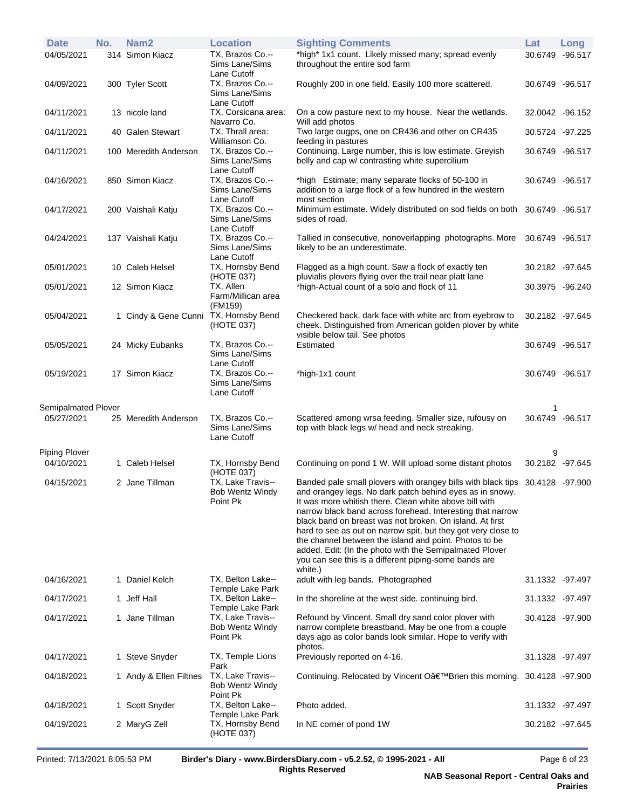| <b>Date</b>         | No. | Nam <sub>2</sub>       | <b>Location</b>                                         | <b>Sighting Comments</b>                                                                                                                                                                                                                                                                                                                                                                                                                                                                                                                                                               | Lat             | Long |
|---------------------|-----|------------------------|---------------------------------------------------------|----------------------------------------------------------------------------------------------------------------------------------------------------------------------------------------------------------------------------------------------------------------------------------------------------------------------------------------------------------------------------------------------------------------------------------------------------------------------------------------------------------------------------------------------------------------------------------------|-----------------|------|
| 04/05/2021          |     | 314 Simon Kiacz        | TX, Brazos Co.--<br>Sims Lane/Sims<br>Lane Cutoff       | *high* 1x1 count. Likely missed many; spread evenly<br>throughout the entire sod farm                                                                                                                                                                                                                                                                                                                                                                                                                                                                                                  | 30.6749 -96.517 |      |
| 04/09/2021          |     | 300 Tyler Scott        | TX, Brazos Co.--<br>Sims Lane/Sims<br>Lane Cutoff       | Roughly 200 in one field. Easily 100 more scattered.                                                                                                                                                                                                                                                                                                                                                                                                                                                                                                                                   | 30.6749 -96.517 |      |
| 04/11/2021          |     | 13 nicole land         | TX, Corsicana area:<br>Navarro Co.                      | On a cow pasture next to my house. Near the wetlands.<br>Will add photos                                                                                                                                                                                                                                                                                                                                                                                                                                                                                                               | 32.0042 -96.152 |      |
| 04/11/2021          |     | 40 Galen Stewart       | TX, Thrall area:<br>Williamson Co.                      | Two large ougps, one on CR436 and other on CR435<br>feeding in pastures                                                                                                                                                                                                                                                                                                                                                                                                                                                                                                                | 30.5724 -97.225 |      |
| 04/11/2021          |     | 100 Meredith Anderson  | TX, Brazos Co .--<br>Sims Lane/Sims<br>Lane Cutoff      | Continuing. Large number, this is low estimate. Greyish<br>belly and cap w/ contrasting white supercilium                                                                                                                                                                                                                                                                                                                                                                                                                                                                              | 30.6749 -96.517 |      |
| 04/16/2021          |     | 850 Simon Kiacz        | TX, Brazos Co.--<br>Sims Lane/Sims<br>Lane Cutoff       | *high Estimate; many separate flocks of 50-100 in<br>addition to a large flock of a few hundred in the western<br>most section                                                                                                                                                                                                                                                                                                                                                                                                                                                         | 30.6749 -96.517 |      |
| 04/17/2021          |     | 200 Vaishali Katju     | TX, Brazos Co.--<br>Sims Lane/Sims<br>Lane Cutoff       | Minimum estimate. Widely distributed on sod fields on both<br>sides of road.                                                                                                                                                                                                                                                                                                                                                                                                                                                                                                           | 30.6749 -96.517 |      |
| 04/24/2021          |     | 137 Vaishali Katju     | TX, Brazos Co.--<br>Sims Lane/Sims<br>Lane Cutoff       | Tallied in consecutive, nonoverlapping photographs. More<br>likely to be an underestimate.                                                                                                                                                                                                                                                                                                                                                                                                                                                                                             | 30.6749 -96.517 |      |
| 05/01/2021          |     | 10 Caleb Helsel        | TX, Hornsby Bend<br>(HOTE 037)                          | Flagged as a high count. Saw a flock of exactly ten<br>pluvialis plovers flying over the trail near platt lane                                                                                                                                                                                                                                                                                                                                                                                                                                                                         | 30.2182 -97.645 |      |
| 05/01/2021          |     | 12 Simon Kiacz         | TX, Allen<br>Farm/Millican area<br>(FM159)              | *high-Actual count of a solo and flock of 11                                                                                                                                                                                                                                                                                                                                                                                                                                                                                                                                           | 30.3975 -96.240 |      |
| 05/04/2021          |     | 1 Cindy & Gene Cunni   | TX, Hornsby Bend<br>(HOTE 037)                          | Checkered back, dark face with white arc from eyebrow to<br>cheek. Distinguished from American golden plover by white<br>visible below tail. See photos                                                                                                                                                                                                                                                                                                                                                                                                                                | 30.2182 -97.645 |      |
| 05/05/2021          |     | 24 Micky Eubanks       | TX, Brazos Co.--<br>Sims Lane/Sims<br>Lane Cutoff       | Estimated                                                                                                                                                                                                                                                                                                                                                                                                                                                                                                                                                                              | 30.6749 -96.517 |      |
| 05/19/2021          |     | 17 Simon Kiacz         | TX, Brazos Co.--<br>Sims Lane/Sims<br>Lane Cutoff       | *high-1x1 count                                                                                                                                                                                                                                                                                                                                                                                                                                                                                                                                                                        | 30.6749 -96.517 |      |
| Semipalmated Plover |     |                        |                                                         |                                                                                                                                                                                                                                                                                                                                                                                                                                                                                                                                                                                        | 1               |      |
| 05/27/2021          |     | 25 Meredith Anderson   | TX, Brazos Co.--<br>Sims Lane/Sims<br>Lane Cutoff       | Scattered among wrsa feeding. Smaller size, rufousy on<br>top with black legs w/ head and neck streaking.                                                                                                                                                                                                                                                                                                                                                                                                                                                                              | 30.6749 -96.517 |      |
| Piping Plover       |     |                        |                                                         |                                                                                                                                                                                                                                                                                                                                                                                                                                                                                                                                                                                        | 9               |      |
| 04/10/2021          |     | 1 Caleb Helsel         | TX, Hornsby Bend<br>(HOTE 037)                          | Continuing on pond 1 W. Will upload some distant photos                                                                                                                                                                                                                                                                                                                                                                                                                                                                                                                                | 30.2182 -97.645 |      |
| 04/15/2021          |     | 2 Jane Tillman         | TX, Lake Travis--<br><b>Bob Wentz Windy</b><br>Point Pk | Banded pale small plovers with orangey bills with black tips 30.4128 -97.900<br>and orangey legs. No dark patch behind eyes as in snowy.<br>It was more whitish there. Clean white above bill with<br>narrow black band across forehead. Interesting that narrow<br>black band on breast was not broken. On island, At first<br>hard to see as out on narrow spit, but they got very close to<br>the channel between the island and point. Photos to be<br>added. Edit: (In the photo with the Semipalmated Plover<br>you can see this is a different piping-some bands are<br>white.) |                 |      |
| 04/16/2021          |     | 1 Daniel Kelch         | TX, Belton Lake--<br><b>Temple Lake Park</b>            | adult with leg bands. Photographed                                                                                                                                                                                                                                                                                                                                                                                                                                                                                                                                                     | 31.1332 -97.497 |      |
| 04/17/2021          |     | 1 Jeff Hall            | TX, Belton Lake--<br>Temple Lake Park                   | In the shoreline at the west side, continuing bird.                                                                                                                                                                                                                                                                                                                                                                                                                                                                                                                                    | 31.1332 -97.497 |      |
| 04/17/2021          |     | 1 Jane Tillman         | TX, Lake Travis--<br><b>Bob Wentz Windy</b><br>Point Pk | Refound by Vincent. Small dry sand color plover with<br>narrow complete breastband. May be one from a couple<br>days ago as color bands look similar. Hope to verify with<br>photos.                                                                                                                                                                                                                                                                                                                                                                                                   | 30.4128 -97.900 |      |
| 04/17/2021          |     | 1 Steve Snyder         | TX, Temple Lions<br>Park                                | Previously reported on 4-16.                                                                                                                                                                                                                                                                                                                                                                                                                                                                                                                                                           | 31.1328 -97.497 |      |
| 04/18/2021          |     | 1 Andy & Ellen Filtnes | TX, Lake Travis--<br><b>Bob Wentz Windy</b><br>Point Pk | Continuing. Relocated by Vincent O'Brien this morning.                                                                                                                                                                                                                                                                                                                                                                                                                                                                                                                                 | 30.4128 -97.900 |      |
| 04/18/2021          |     | 1 Scott Snyder         | TX, Belton Lake--<br><b>Temple Lake Park</b>            | Photo added.                                                                                                                                                                                                                                                                                                                                                                                                                                                                                                                                                                           | 31.1332 -97.497 |      |
| 04/19/2021          |     | 2 MaryG Zell           | TX, Hornsby Bend<br>(HOTE 037)                          | In NE corner of pond 1W                                                                                                                                                                                                                                                                                                                                                                                                                                                                                                                                                                | 30.2182 -97.645 |      |

Printed: 7/13/2021 8:05:53 PM **Birder's Diary - www.BirdersDiary.com - v5.2.52, © 1995-2021 - All Rights Reserved**

Page 6 of 23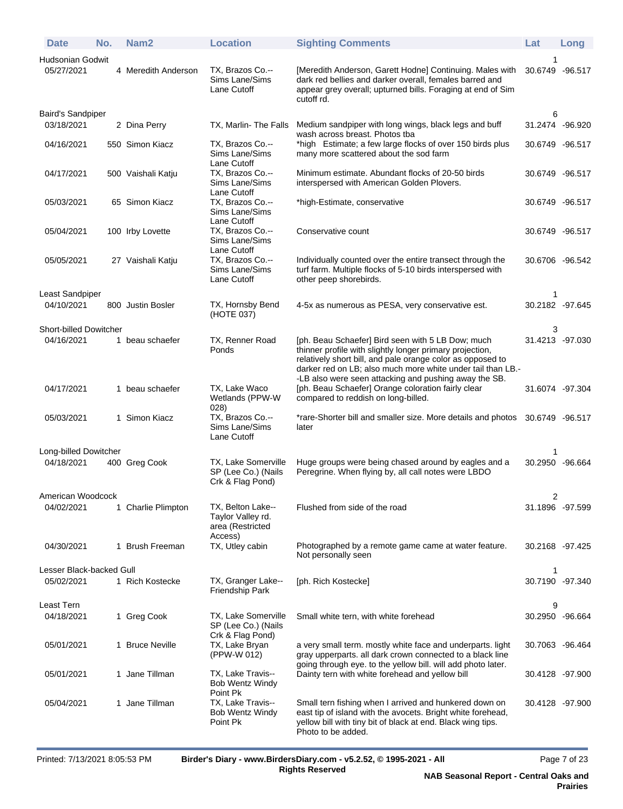| <b>Date</b>                            | No. | Nam <sub>2</sub>    | <b>Location</b>                                                       | <b>Sighting Comments</b>                                                                                                                                                                                                                   | Lat                  | Long      |
|----------------------------------------|-----|---------------------|-----------------------------------------------------------------------|--------------------------------------------------------------------------------------------------------------------------------------------------------------------------------------------------------------------------------------------|----------------------|-----------|
| Hudsonian Godwit                       |     |                     |                                                                       |                                                                                                                                                                                                                                            |                      |           |
| 05/27/2021                             |     | 4 Meredith Anderson | TX, Brazos Co.--<br>Sims Lane/Sims<br>Lane Cutoff                     | [Meredith Anderson, Garett Hodne] Continuing. Males with<br>dark red bellies and darker overall, females barred and<br>appear grey overall; upturned bills. Foraging at end of Sim<br>cutoff rd.                                           | 30.6749              | $-96.517$ |
| <b>Baird's Sandpiper</b><br>03/18/2021 |     | 2 Dina Perry        | TX, Marlin-The Falls                                                  | Medium sandpiper with long wings, black legs and buff<br>wash across breast. Photos tba                                                                                                                                                    | 6<br>31.2474 -96.920 |           |
| 04/16/2021                             |     | 550 Simon Kiacz     | TX, Brazos Co.--<br>Sims Lane/Sims<br>Lane Cutoff                     | *high Estimate; a few large flocks of over 150 birds plus<br>many more scattered about the sod farm                                                                                                                                        | 30.6749 -96.517      |           |
| 04/17/2021                             |     | 500 Vaishali Katju  | TX, Brazos Co .--<br>Sims Lane/Sims<br>Lane Cutoff                    | Minimum estimate. Abundant flocks of 20-50 birds<br>interspersed with American Golden Plovers.                                                                                                                                             | 30.6749 -96.517      |           |
| 05/03/2021                             |     | 65 Simon Kiacz      | TX, Brazos Co.--<br>Sims Lane/Sims<br>Lane Cutoff                     | *high-Estimate, conservative                                                                                                                                                                                                               | 30.6749 -96.517      |           |
| 05/04/2021                             |     | 100 Irby Lovette    | TX, Brazos Co.--<br>Sims Lane/Sims<br>Lane Cutoff                     | Conservative count                                                                                                                                                                                                                         | 30.6749 -96.517      |           |
| 05/05/2021                             |     | 27 Vaishali Katju   | TX, Brazos Co.--<br>Sims Lane/Sims<br>Lane Cutoff                     | Individually counted over the entire transect through the<br>turf farm. Multiple flocks of 5-10 birds interspersed with<br>other peep shorebirds.                                                                                          | 30.6706 -96.542      |           |
| Least Sandpiper                        |     |                     |                                                                       |                                                                                                                                                                                                                                            | 1                    |           |
| 04/10/2021                             |     | 800 Justin Bosler   | TX, Hornsby Bend<br>(HOTE 037)                                        | 4-5x as numerous as PESA, very conservative est.                                                                                                                                                                                           | 30.2182 -97.645      |           |
| <b>Short-billed Dowitcher</b>          |     |                     |                                                                       |                                                                                                                                                                                                                                            | 3                    |           |
| 04/16/2021                             |     | 1 beau schaefer     | TX, Renner Road<br>Ponds                                              | [ph. Beau Schaefer] Bird seen with 5 LB Dow; much<br>thinner profile with slightly longer primary projection,<br>relatively short bill, and pale orange color as opposed to<br>darker red on LB; also much more white under tail than LB.- | 31.4213 -97.030      |           |
| 04/17/2021                             |     | 1 beau schaefer     | TX, Lake Waco<br>Wetlands (PPW-W<br>028)                              | -LB also were seen attacking and pushing away the SB.<br>[ph. Beau Schaefer] Orange coloration fairly clear<br>compared to reddish on long-billed.                                                                                         | 31.6074 -97.304      |           |
| 05/03/2021                             |     | 1 Simon Kiacz       | TX, Brazos Co.--<br>Sims Lane/Sims<br>Lane Cutoff                     | *rare-Shorter bill and smaller size. More details and photos<br>later                                                                                                                                                                      | 30.6749 -96.517      |           |
| Long-billed Dowitcher                  |     |                     |                                                                       |                                                                                                                                                                                                                                            | 1                    |           |
| 04/18/2021                             |     | 400 Greg Cook       | TX, Lake Somerville<br>SP (Lee Co.) (Nails<br>Crk & Flag Pond)        | Huge groups were being chased around by eagles and a<br>Peregrine. When flying by, all call notes were LBDO                                                                                                                                | 30.2950 -96.664      |           |
| American Woodcock                      |     |                     |                                                                       |                                                                                                                                                                                                                                            | 2                    |           |
| 04/02/2021                             |     | 1 Charlie Plimpton  | TX, Belton Lake--<br>Taylor Valley rd.<br>area (Restricted<br>Access) | Flushed from side of the road                                                                                                                                                                                                              | 31.1896 -97.599      |           |
| 04/30/2021                             |     | 1 Brush Freeman     | TX, Utley cabin                                                       | Photographed by a remote game came at water feature.<br>Not personally seen                                                                                                                                                                | 30.2168 -97.425      |           |
| Lesser Black-backed Gull               |     |                     |                                                                       |                                                                                                                                                                                                                                            | 1                    |           |
| 05/02/2021                             |     | 1 Rich Kostecke     | TX, Granger Lake--<br>Friendship Park                                 | [ph. Rich Kostecke]                                                                                                                                                                                                                        | 30.7190 -97.340      |           |
| Least Tern                             |     |                     |                                                                       |                                                                                                                                                                                                                                            | 9                    |           |
| 04/18/2021                             |     | 1 Greg Cook         | TX, Lake Somerville<br>SP (Lee Co.) (Nails<br>Crk & Flag Pond)        | Small white tern, with white forehead                                                                                                                                                                                                      | 30.2950 -96.664      |           |
| 05/01/2021                             |     | 1 Bruce Neville     | TX, Lake Bryan<br>(PPW-W 012)                                         | a very small term. mostly white face and underparts. light<br>gray upperparts. all dark crown connected to a black line<br>going through eye. to the yellow bill. will add photo later.                                                    | 30.7063 -96.464      |           |
| 05/01/2021                             |     | 1 Jane Tillman      | TX, Lake Travis--<br><b>Bob Wentz Windy</b><br>Point Pk               | Dainty tern with white forehead and yellow bill                                                                                                                                                                                            | 30.4128 -97.900      |           |
| 05/04/2021                             |     | 1 Jane Tillman      | TX, Lake Travis--<br>Bob Wentz Windy<br>Point Pk                      | Small tern fishing when I arrived and hunkered down on<br>east tip of island with the avocets. Bright white forehead,<br>yellow bill with tiny bit of black at end. Black wing tips.<br>Photo to be added.                                 | 30.4128 -97.900      |           |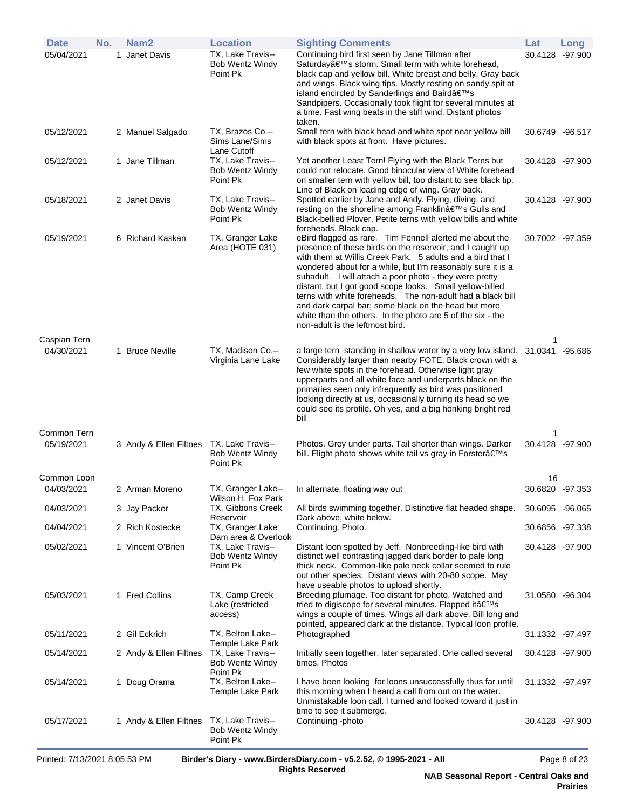| <b>Date</b>                | No. | Nam <sub>2</sub>       | <b>Location</b>                                         | <b>Sighting Comments</b>                                                                                                                                                                                                                                                                                                                                                                                                                                                                                                                                                                        | Lat                   | Long    |
|----------------------------|-----|------------------------|---------------------------------------------------------|-------------------------------------------------------------------------------------------------------------------------------------------------------------------------------------------------------------------------------------------------------------------------------------------------------------------------------------------------------------------------------------------------------------------------------------------------------------------------------------------------------------------------------------------------------------------------------------------------|-----------------------|---------|
| 05/04/2021                 |     | 1 Janet Davis          | TX, Lake Travis--<br><b>Bob Wentz Windy</b><br>Point Pk | Continuing bird first seen by Jane Tillman after<br>Saturday's storm. Small term with white forehead,<br>black cap and yellow bill. White breast and belly, Gray back<br>and wings. Black wing tips. Mostly resting on sandy spit at<br>island encircled by Sanderlings and Baird's<br>Sandpipers. Occasionally took flight for several minutes at<br>a time. Fast wing beats in the stiff wind. Distant photos<br>taken.                                                                                                                                                                       | 30.4128               | -97.900 |
| 05/12/2021                 |     | 2 Manuel Salgado       | TX, Brazos Co.--<br>Sims Lane/Sims<br>Lane Cutoff       | Small tern with black head and white spot near yellow bill<br>with black spots at front. Have pictures.                                                                                                                                                                                                                                                                                                                                                                                                                                                                                         | 30.6749 -96.517       |         |
| 05/12/2021                 |     | 1 Jane Tillman         | TX, Lake Travis--<br>Bob Wentz Windy<br>Point Pk        | Yet another Least Tern! Flying with the Black Terns but<br>could not relocate. Good binocular view of White forehead<br>on smaller tern with yellow bill, too distant to see black tip.<br>Line of Black on leading edge of wing. Gray back.                                                                                                                                                                                                                                                                                                                                                    | 30.4128 -97.900       |         |
| 05/18/2021                 |     | 2 Janet Davis          | TX, Lake Travis--<br><b>Bob Wentz Windy</b><br>Point Pk | Spotted earlier by Jane and Andy. Flying, diving, and<br>resting on the shoreline among Franklin's Gulls and<br>Black-bellied Plover. Petite terns with yellow bills and white<br>foreheads. Black cap.                                                                                                                                                                                                                                                                                                                                                                                         | 30.4128 -97.900       |         |
| 05/19/2021                 |     | 6 Richard Kaskan       | TX, Granger Lake<br>Area (HOTE 031)                     | eBird flagged as rare. Tim Fennell alerted me about the<br>presence of these birds on the reservoir, and I caught up<br>with them at Willis Creek Park. 5 adults and a bird that I<br>wondered about for a while, but I'm reasonably sure it is a<br>subadult. I will attach a poor photo - they were pretty<br>distant, but I got good scope looks. Small yellow-billed<br>terns with white foreheads. The non-adult had a black bill<br>and dark carpal bar; some black on the head but more<br>white than the others. In the photo are 5 of the six - the<br>non-adult is the leftmost bird. | 30.7002 -97.359       |         |
| Caspian Tern<br>04/30/2021 |     | 1 Bruce Neville        | TX, Madison Co.--<br>Virginia Lane Lake                 | a large tern standing in shallow water by a very low island. 31.0341 -95.686<br>Considerably larger than nearby FOTE. Black crown with a<br>few white spots in the forehead. Otherwise light gray<br>upperparts and all white face and underparts black on the<br>primaries seen only infrequently as bird was positioned<br>looking directly at us, occasionally turning its head so we<br>could see its profile. Oh yes, and a big honking bright red<br>bill                                                                                                                                 | 1                     |         |
| Common Tern<br>05/19/2021  |     | 3 Andy & Ellen Filtnes | TX, Lake Travis--<br><b>Bob Wentz Windy</b><br>Point Pk | Photos. Grey under parts. Tail shorter than wings. Darker<br>bill. Flight photo shows white tail vs gray in Forster's                                                                                                                                                                                                                                                                                                                                                                                                                                                                           | 1<br>30.4128 -97.900  |         |
| Common Loon<br>04/03/2021  |     | 2 Arman Moreno         | TX, Granger Lake--                                      | In alternate, floating way out                                                                                                                                                                                                                                                                                                                                                                                                                                                                                                                                                                  | 16<br>30.6820 -97.353 |         |
| 04/03/2021                 |     | 3 Jay Packer           | Wilson H. Fox Park<br>TX, Gibbons Creek                 | All birds swimming together. Distinctive flat headed shape.                                                                                                                                                                                                                                                                                                                                                                                                                                                                                                                                     | 30.6095 -96.065       |         |
| 04/04/2021                 |     | 2 Rich Kostecke        | Reservoir<br>TX, Granger Lake                           | Dark above, white below.<br>Continuing. Photo.                                                                                                                                                                                                                                                                                                                                                                                                                                                                                                                                                  | 30.6856 -97.338       |         |
|                            |     |                        | Dam area & Overlook                                     |                                                                                                                                                                                                                                                                                                                                                                                                                                                                                                                                                                                                 |                       |         |
| 05/02/2021                 |     | 1 Vincent O'Brien      | TX, Lake Travis--<br><b>Bob Wentz Windy</b><br>Point Pk | Distant loon spotted by Jeff. Nonbreeding-like bird with<br>distinct well contrasting jagged dark border to pale long<br>thick neck. Common-like pale neck collar seemed to rule<br>out other species. Distant views with 20-80 scope. May<br>have useable photos to upload shortly.                                                                                                                                                                                                                                                                                                            | 30.4128 -97.900       |         |
| 05/03/2021                 |     | 1 Fred Collins         | TX, Camp Creek<br>Lake (restricted<br>access)           | Breeding plumage. Too distant for photo. Watched and<br>tried to digiscope for several minutes. Flapped it's<br>wings a couple of times. Wings all dark above. Bill long and<br>pointed, appeared dark at the distance. Typical loon profile.                                                                                                                                                                                                                                                                                                                                                   | 31.0580 -96.304       |         |
| 05/11/2021                 |     | 2 Gil Eckrich          | TX, Belton Lake--<br>Temple Lake Park                   | Photographed                                                                                                                                                                                                                                                                                                                                                                                                                                                                                                                                                                                    | 31.1332 -97.497       |         |
| 05/14/2021                 |     | 2 Andy & Ellen Filtnes | TX, Lake Travis--<br><b>Bob Wentz Windy</b><br>Point Pk | Initially seen together, later separated. One called several<br>times. Photos                                                                                                                                                                                                                                                                                                                                                                                                                                                                                                                   | 30.4128 -97.900       |         |
| 05/14/2021                 |     | 1 Doug Orama           | TX, Belton Lake--<br>Temple Lake Park                   | I have been looking for loons unsuccessfully thus far until<br>this morning when I heard a call from out on the water.<br>Unmistakable loon call. I turned and looked toward it just in<br>time to see it submerge.                                                                                                                                                                                                                                                                                                                                                                             | 31.1332 - 97.497      |         |
| 05/17/2021                 |     | 1 Andy & Ellen Filtnes | TX, Lake Travis--<br><b>Bob Wentz Windy</b><br>Point Pk | Continuing -photo                                                                                                                                                                                                                                                                                                                                                                                                                                                                                                                                                                               | 30.4128 -97.900       |         |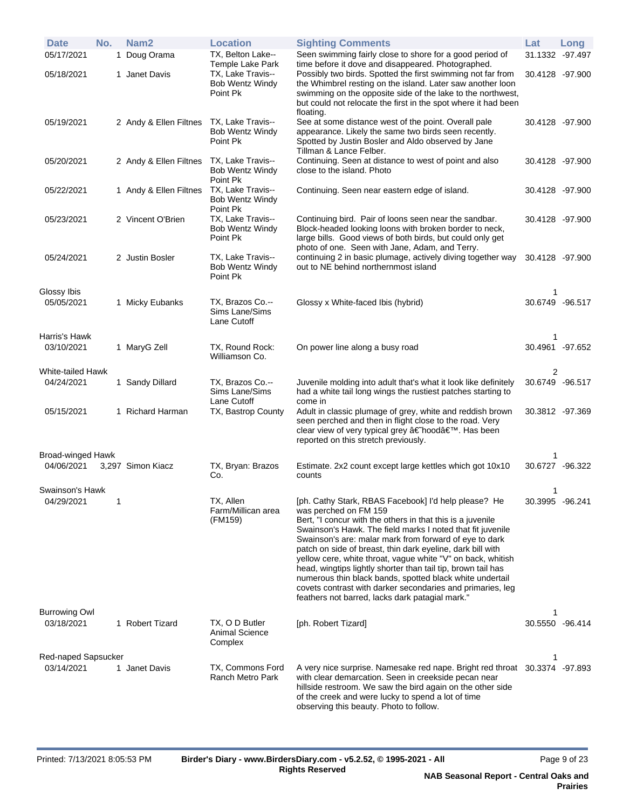| <b>Date</b><br>05/17/2021          | No. | Nam <sub>2</sub><br>1 Doug Orama | <b>Location</b><br>TX, Belton Lake--                                               | <b>Sighting Comments</b><br>Seen swimming fairly close to shore for a good period of                                                                                                                                                                                                                                                                                                                                                                                                                                                                                                                                                          | Lat<br>31.1332 -97.497 | Long |
|------------------------------------|-----|----------------------------------|------------------------------------------------------------------------------------|-----------------------------------------------------------------------------------------------------------------------------------------------------------------------------------------------------------------------------------------------------------------------------------------------------------------------------------------------------------------------------------------------------------------------------------------------------------------------------------------------------------------------------------------------------------------------------------------------------------------------------------------------|------------------------|------|
| 05/18/2021                         |     | 1 Janet Davis                    | <b>Temple Lake Park</b><br>TX, Lake Travis--<br><b>Bob Wentz Windy</b><br>Point Pk | time before it dove and disappeared. Photographed.<br>Possibly two birds. Spotted the first swimming not far from<br>the Whimbrel resting on the island. Later saw another loon<br>swimming on the opposite side of the lake to the northwest,<br>but could not relocate the first in the spot where it had been<br>floating.                                                                                                                                                                                                                                                                                                                 | 30.4128 -97.900        |      |
| 05/19/2021                         |     | 2 Andy & Ellen Filtnes           | TX, Lake Travis--<br><b>Bob Wentz Windy</b><br>Point Pk                            | See at some distance west of the point. Overall pale<br>appearance. Likely the same two birds seen recently.<br>Spotted by Justin Bosler and Aldo observed by Jane<br>Tillman & Lance Felber.                                                                                                                                                                                                                                                                                                                                                                                                                                                 | 30.4128 -97.900        |      |
| 05/20/2021                         |     | 2 Andy & Ellen Filtnes           | TX, Lake Travis--<br><b>Bob Wentz Windy</b><br>Point Pk                            | Continuing. Seen at distance to west of point and also<br>close to the island. Photo                                                                                                                                                                                                                                                                                                                                                                                                                                                                                                                                                          | 30.4128 -97.900        |      |
| 05/22/2021                         |     | 1 Andy & Ellen Filtnes           | TX, Lake Travis--<br><b>Bob Wentz Windy</b><br>Point Pk                            | Continuing. Seen near eastern edge of island.                                                                                                                                                                                                                                                                                                                                                                                                                                                                                                                                                                                                 | 30.4128 -97.900        |      |
| 05/23/2021                         |     | 2 Vincent O'Brien                | TX, Lake Travis--<br><b>Bob Wentz Windy</b><br>Point Pk                            | Continuing bird. Pair of loons seen near the sandbar.<br>Block-headed looking loons with broken border to neck,<br>large bills. Good views of both birds, but could only get<br>photo of one. Seen with Jane, Adam, and Terry.                                                                                                                                                                                                                                                                                                                                                                                                                | 30.4128 -97.900        |      |
| 05/24/2021                         |     | 2 Justin Bosler                  | TX, Lake Travis--<br><b>Bob Wentz Windy</b><br>Point Pk                            | continuing 2 in basic plumage, actively diving together way<br>out to NE behind northernmost island                                                                                                                                                                                                                                                                                                                                                                                                                                                                                                                                           | 30.4128 -97.900        |      |
| Glossy Ibis<br>05/05/2021          |     | 1 Micky Eubanks                  | TX, Brazos Co.--<br>Sims Lane/Sims<br>Lane Cutoff                                  | Glossy x White-faced Ibis (hybrid)                                                                                                                                                                                                                                                                                                                                                                                                                                                                                                                                                                                                            | 1<br>30.6749 -96.517   |      |
| Harris's Hawk<br>03/10/2021        |     | 1 MaryG Zell                     | TX, Round Rock:<br>Williamson Co.                                                  | On power line along a busy road                                                                                                                                                                                                                                                                                                                                                                                                                                                                                                                                                                                                               | 1<br>30.4961 -97.652   |      |
| White-tailed Hawk                  |     |                                  |                                                                                    |                                                                                                                                                                                                                                                                                                                                                                                                                                                                                                                                                                                                                                               | 2                      |      |
| 04/24/2021                         |     | 1 Sandy Dillard                  | TX, Brazos Co.--<br>Sims Lane/Sims<br>Lane Cutoff                                  | Juvenile molding into adult that's what it look like definitely<br>had a white tail long wings the rustiest patches starting to<br>come in                                                                                                                                                                                                                                                                                                                                                                                                                                                                                                    | 30.6749 -96.517        |      |
| 05/15/2021                         |     | 1 Richard Harman                 | TX, Bastrop County                                                                 | Adult in classic plumage of grey, white and reddish brown<br>seen perched and then in flight close to the road. Very<br>clear view of very typical grey †hood'. Has been<br>reported on this stretch previously.                                                                                                                                                                                                                                                                                                                                                                                                                              | 30.3812 -97.369        |      |
| Broad-winged Hawk                  |     |                                  |                                                                                    |                                                                                                                                                                                                                                                                                                                                                                                                                                                                                                                                                                                                                                               | 1                      |      |
| 04/06/2021                         |     | 3,297 Simon Kiacz                | TX, Bryan: Brazos<br>Co.                                                           | Estimate. 2x2 count except large kettles which got 10x10<br>counts                                                                                                                                                                                                                                                                                                                                                                                                                                                                                                                                                                            | 30.6727 -96.322        |      |
| Swainson's Hawk<br>04/29/2021      | 1   |                                  | TX, Allen<br>Farm/Millican area<br>(FM159)                                         | [ph. Cathy Stark, RBAS Facebook] I'd help please? He<br>was perched on FM 159<br>Bert, "I concur with the others in that this is a juvenile<br>Swainson's Hawk. The field marks I noted that fit juvenile<br>Swainson's are: malar mark from forward of eye to dark<br>patch on side of breast, thin dark eyeline, dark bill with<br>yellow cere, white throat, vague white "V" on back, whitish<br>head, wingtips lightly shorter than tail tip, brown tail has<br>numerous thin black bands, spotted black white undertail<br>covets contrast with darker secondaries and primaries, leg<br>feathers not barred, lacks dark patagial mark." | 1<br>30.3995 -96.241   |      |
| <b>Burrowing Owl</b><br>03/18/2021 |     | 1 Robert Tizard                  | TX, O D Butler<br><b>Animal Science</b><br>Complex                                 | [ph. Robert Tizard]                                                                                                                                                                                                                                                                                                                                                                                                                                                                                                                                                                                                                           | 1<br>30.5550 -96.414   |      |
| Red-naped Sapsucker                |     |                                  |                                                                                    |                                                                                                                                                                                                                                                                                                                                                                                                                                                                                                                                                                                                                                               | 1                      |      |
| 03/14/2021                         |     | 1 Janet Davis                    | TX, Commons Ford<br><b>Ranch Metro Park</b>                                        | A very nice surprise. Namesake red nape. Bright red throat 30.3374 -97.893<br>with clear demarcation. Seen in creekside pecan near<br>hillside restroom. We saw the bird again on the other side<br>of the creek and were lucky to spend a lot of time<br>observing this beauty. Photo to follow.                                                                                                                                                                                                                                                                                                                                             |                        |      |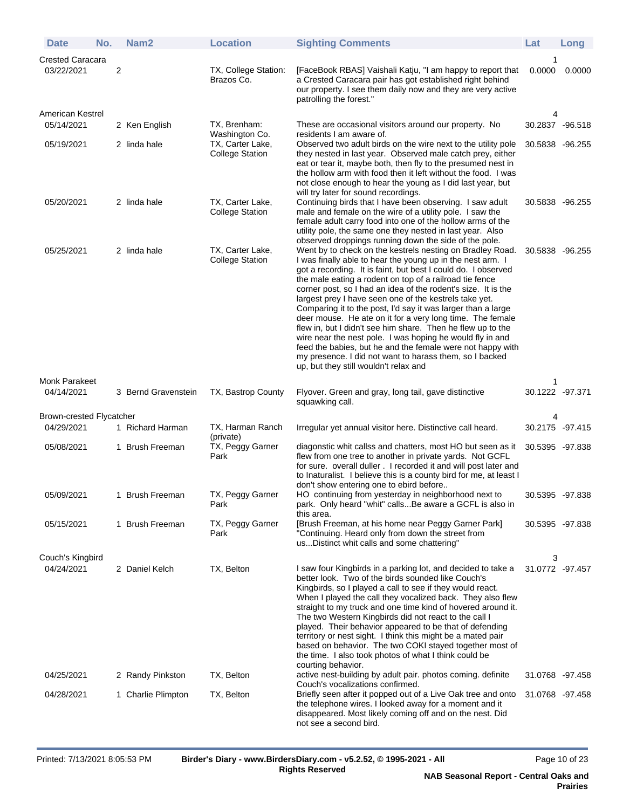| <b>Date</b>                           | No. |   | Nam <sub>2</sub>    | <b>Location</b>                            | <b>Sighting Comments</b>                                                                                                                                                                                                                                                                                                                                                                                                                                                                                                                                                                                                                                                                                                                                                                                  | Lat             | Long            |
|---------------------------------------|-----|---|---------------------|--------------------------------------------|-----------------------------------------------------------------------------------------------------------------------------------------------------------------------------------------------------------------------------------------------------------------------------------------------------------------------------------------------------------------------------------------------------------------------------------------------------------------------------------------------------------------------------------------------------------------------------------------------------------------------------------------------------------------------------------------------------------------------------------------------------------------------------------------------------------|-----------------|-----------------|
| <b>Crested Caracara</b><br>03/22/2021 |     | 2 |                     | TX, College Station:<br>Brazos Co.         | [FaceBook RBAS] Vaishali Katju, "I am happy to report that<br>a Crested Caracara pair has got established right behind<br>our property. I see them daily now and they are very active                                                                                                                                                                                                                                                                                                                                                                                                                                                                                                                                                                                                                     | 0.0000          | 0.0000          |
|                                       |     |   |                     |                                            | patrolling the forest."                                                                                                                                                                                                                                                                                                                                                                                                                                                                                                                                                                                                                                                                                                                                                                                   |                 |                 |
| American Kestrel<br>05/14/2021        |     |   | 2 Ken English       | TX, Brenham:                               | These are occasional visitors around our property. No                                                                                                                                                                                                                                                                                                                                                                                                                                                                                                                                                                                                                                                                                                                                                     | 4               | 30.2837 -96.518 |
| 05/19/2021                            |     |   | 2 linda hale        | Washington Co.<br>TX, Carter Lake,         | residents I am aware of.<br>Observed two adult birds on the wire next to the utility pole                                                                                                                                                                                                                                                                                                                                                                                                                                                                                                                                                                                                                                                                                                                 | 30.5838 -96.255 |                 |
|                                       |     |   |                     | <b>College Station</b>                     | they nested in last year. Observed male catch prey, either<br>eat or tear it, maybe both, then fly to the presumed nest in<br>the hollow arm with food then it left without the food. I was<br>not close enough to hear the young as I did last year, but<br>will try later for sound recordings.                                                                                                                                                                                                                                                                                                                                                                                                                                                                                                         |                 |                 |
| 05/20/2021                            |     |   | 2 linda hale        | TX, Carter Lake,<br><b>College Station</b> | Continuing birds that I have been observing. I saw adult<br>male and female on the wire of a utility pole. I saw the<br>female adult carry food into one of the hollow arms of the<br>utility pole, the same one they nested in last year. Also<br>observed droppings running down the side of the pole.                                                                                                                                                                                                                                                                                                                                                                                                                                                                                                  | 30.5838 -96.255 |                 |
| 05/25/2021                            |     |   | 2 linda hale        | TX, Carter Lake,<br><b>College Station</b> | Went by to check on the kestrels nesting on Bradley Road.<br>I was finally able to hear the young up in the nest arm. I<br>got a recording. It is faint, but best I could do. I observed<br>the male eating a rodent on top of a railroad tie fence<br>corner post, so I had an idea of the rodent's size. It is the<br>largest prey I have seen one of the kestrels take yet.<br>Comparing it to the post, I'd say it was larger than a large<br>deer mouse. He ate on it for a very long time. The female<br>flew in, but I didn't see him share. Then he flew up to the<br>wire near the nest pole. I was hoping he would fly in and<br>feed the babies, but he and the female were not happy with<br>my presence. I did not want to harass them, so I backed<br>up, but they still wouldn't relax and | 30.5838 -96.255 |                 |
| <b>Monk Parakeet</b>                  |     |   |                     |                                            |                                                                                                                                                                                                                                                                                                                                                                                                                                                                                                                                                                                                                                                                                                                                                                                                           |                 |                 |
| 04/14/2021                            |     |   | 3 Bernd Gravenstein | TX, Bastrop County                         | Flyover. Green and gray, long tail, gave distinctive<br>squawking call.                                                                                                                                                                                                                                                                                                                                                                                                                                                                                                                                                                                                                                                                                                                                   | 30.1222 -97.371 |                 |
| Brown-crested Flycatcher              |     |   |                     |                                            |                                                                                                                                                                                                                                                                                                                                                                                                                                                                                                                                                                                                                                                                                                                                                                                                           |                 |                 |
| 04/29/2021                            |     |   | 1 Richard Harman    | TX, Harman Ranch<br>(private)              | Irregular yet annual visitor here. Distinctive call heard.                                                                                                                                                                                                                                                                                                                                                                                                                                                                                                                                                                                                                                                                                                                                                | 30.2175 -97.415 |                 |
| 05/08/2021                            |     |   | 1 Brush Freeman     | TX, Peggy Garner<br>Park                   | diagonstic whit callss and chatters, most HO but seen as it<br>flew from one tree to another in private yards. Not GCFL<br>for sure. overall duller. I recorded it and will post later and<br>to Inaturalist. I believe this is a county bird for me, at least I<br>don't show entering one to ebird before                                                                                                                                                                                                                                                                                                                                                                                                                                                                                               | 30.5395 -97.838 |                 |
| 05/09/2021                            |     |   | 1 Brush Freeman     | TX, Peggy Garner<br>Park                   | HO continuing from yesterday in neighborhood next to<br>park. Only heard "whit" callsBe aware a GCFL is also in<br>this area.                                                                                                                                                                                                                                                                                                                                                                                                                                                                                                                                                                                                                                                                             | 30.5395 -97.838 |                 |
| 05/15/2021                            |     |   | 1 Brush Freeman     | TX, Peggy Garner<br>Park                   | [Brush Freeman, at his home near Peggy Garner Park]<br>"Continuing. Heard only from down the street from<br>usDistinct whit calls and some chattering"                                                                                                                                                                                                                                                                                                                                                                                                                                                                                                                                                                                                                                                    | 30.5395 -97.838 |                 |
| Couch's Kingbird                      |     |   |                     |                                            |                                                                                                                                                                                                                                                                                                                                                                                                                                                                                                                                                                                                                                                                                                                                                                                                           | 3               |                 |
| 04/24/2021                            |     |   | 2 Daniel Kelch      | TX, Belton                                 | I saw four Kingbirds in a parking lot, and decided to take a<br>better look. Two of the birds sounded like Couch's<br>Kingbirds, so I played a call to see if they would react.<br>When I played the call they vocalized back. They also flew<br>straight to my truck and one time kind of hovered around it.<br>The two Western Kingbirds did not react to the call I<br>played. Their behavior appeared to be that of defending<br>territory or nest sight. I think this might be a mated pair<br>based on behavior. The two COKI stayed together most of<br>the time. I also took photos of what I think could be<br>courting behavior.                                                                                                                                                                | 31.0772 -97.457 |                 |
| 04/25/2021                            |     |   | 2 Randy Pinkston    | TX, Belton                                 | active nest-building by adult pair. photos coming. definite<br>Couch's vocalizations confirmed.                                                                                                                                                                                                                                                                                                                                                                                                                                                                                                                                                                                                                                                                                                           | 31.0768 -97.458 |                 |
| 04/28/2021                            |     |   | 1 Charlie Plimpton  | TX, Belton                                 | Briefly seen after it popped out of a Live Oak tree and onto<br>the telephone wires. I looked away for a moment and it<br>disappeared. Most likely coming off and on the nest. Did<br>not see a second bird.                                                                                                                                                                                                                                                                                                                                                                                                                                                                                                                                                                                              | 31.0768 -97.458 |                 |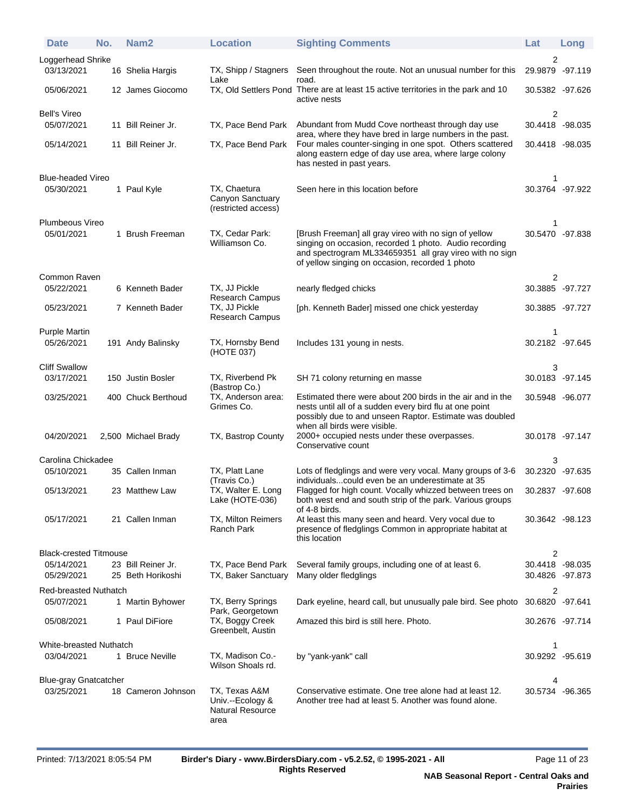| <b>Date</b>                            | No. | Nam <sub>2</sub>                        | <b>Location</b>                                               | <b>Sighting Comments</b>                                                                                                                                                                                                      | Lat                                | Long |
|----------------------------------------|-----|-----------------------------------------|---------------------------------------------------------------|-------------------------------------------------------------------------------------------------------------------------------------------------------------------------------------------------------------------------------|------------------------------------|------|
| Loggerhead Shrike                      |     |                                         |                                                               |                                                                                                                                                                                                                               | 2                                  |      |
| 03/13/2021                             |     | 16 Shelia Hargis                        | TX, Shipp / Stagners<br>Lake                                  | Seen throughout the route. Not an unusual number for this<br>road.                                                                                                                                                            | 29.9879 -97.119                    |      |
| 05/06/2021                             |     | 12 James Giocomo                        |                                                               | TX, Old Settlers Pond There are at least 15 active territories in the park and 10<br>active nests                                                                                                                             | 30.5382 -97.626                    |      |
| <b>Bell's Vireo</b>                    |     |                                         |                                                               |                                                                                                                                                                                                                               | $\overline{c}$                     |      |
| 05/07/2021                             |     | 11 Bill Reiner Jr.                      | TX, Pace Bend Park                                            | Abundant from Mudd Cove northeast through day use<br>area, where they have bred in large numbers in the past.                                                                                                                 | 30.4418 -98.035                    |      |
| 05/14/2021                             |     | 11 Bill Reiner Jr.                      | TX, Pace Bend Park                                            | Four males counter-singing in one spot. Others scattered<br>along eastern edge of day use area, where large colony<br>has nested in past years.                                                                               | 30.4418 -98.035                    |      |
| <b>Blue-headed Vireo</b><br>05/30/2021 |     | 1 Paul Kyle                             | TX, Chaetura                                                  | Seen here in this location before                                                                                                                                                                                             | 30.3764 -97.922                    |      |
|                                        |     |                                         | Canyon Sanctuary<br>(restricted access)                       |                                                                                                                                                                                                                               |                                    |      |
| Plumbeous Vireo                        |     |                                         |                                                               |                                                                                                                                                                                                                               |                                    |      |
| 05/01/2021                             |     | 1 Brush Freeman                         | TX, Cedar Park:<br>Williamson Co.                             | [Brush Freeman] all gray vireo with no sign of yellow<br>singing on occasion, recorded 1 photo. Audio recording<br>and spectrogram ML334659351 all gray vireo with no sign<br>of yellow singing on occasion, recorded 1 photo | 30.5470 -97.838                    |      |
| Common Raven                           |     |                                         |                                                               |                                                                                                                                                                                                                               | 2                                  |      |
| 05/22/2021                             |     | 6 Kenneth Bader                         | TX, JJ Pickle<br><b>Research Campus</b>                       | nearly fledged chicks                                                                                                                                                                                                         | 30.3885 -97.727                    |      |
| 05/23/2021                             |     | 7 Kenneth Bader                         | TX, JJ Pickle<br>Research Campus                              | [ph. Kenneth Bader] missed one chick yesterday                                                                                                                                                                                | 30.3885 -97.727                    |      |
| <b>Purple Martin</b>                   |     |                                         |                                                               |                                                                                                                                                                                                                               |                                    |      |
| 05/26/2021                             |     | 191 Andy Balinsky                       | TX, Hornsby Bend<br>(HOTE 037)                                | Includes 131 young in nests.                                                                                                                                                                                                  | 30.2182 -97.645                    |      |
| <b>Cliff Swallow</b>                   |     |                                         |                                                               |                                                                                                                                                                                                                               | 3                                  |      |
| 03/17/2021                             |     | 150 Justin Bosler                       | TX, Riverbend Pk<br>(Bastrop Co.)                             | SH 71 colony returning en masse                                                                                                                                                                                               | 30.0183 -97.145                    |      |
| 03/25/2021                             |     | 400 Chuck Berthoud                      | TX, Anderson area:<br>Grimes Co.                              | Estimated there were about 200 birds in the air and in the<br>nests until all of a sudden every bird flu at one point<br>possibly due to and unseen Raptor. Estimate was doubled<br>when all birds were visible.              | 30.5948 -96.077                    |      |
| 04/20/2021                             |     | 2,500 Michael Brady                     | TX, Bastrop County                                            | 2000+ occupied nests under these overpasses.<br>Conservative count                                                                                                                                                            | 30.0178 -97.147                    |      |
| Carolina Chickadee                     |     |                                         |                                                               |                                                                                                                                                                                                                               | 3                                  |      |
| 05/10/2021                             |     | 35 Callen Inman                         | TX, Platt Lane<br>(Travis Co.)                                | Lots of fledglings and were very vocal. Many groups of 3-6<br>individuals could even be an underestimate at 35                                                                                                                | 30.2320 -97.635                    |      |
| 05/13/2021                             |     | 23 Matthew Law                          | TX, Walter E. Long<br>Lake (HOTE-036)                         | Flagged for high count. Vocally whizzed between trees on<br>both west end and south strip of the park. Various groups<br>of 4-8 birds.                                                                                        | 30.2837 -97.608                    |      |
| 05/17/2021                             |     | 21 Callen Inman                         | TX, Milton Reimers<br>Ranch Park                              | At least this many seen and heard. Very vocal due to<br>presence of fledglings Common in appropriate habitat at<br>this location                                                                                              | 30.3642 -98.123                    |      |
| <b>Black-crested Titmouse</b>          |     |                                         |                                                               |                                                                                                                                                                                                                               | 2                                  |      |
| 05/14/2021<br>05/29/2021               |     | 23 Bill Reiner Jr.<br>25 Beth Horikoshi | TX, Pace Bend Park<br>TX, Baker Sanctuary                     | Several family groups, including one of at least 6.<br>Many older fledglings                                                                                                                                                  | 30.4418 -98.035<br>30.4826 -97.873 |      |
| <b>Red-breasted Nuthatch</b>           |     |                                         |                                                               |                                                                                                                                                                                                                               | $\overline{2}$                     |      |
| 05/07/2021                             |     | 1 Martin Byhower                        | TX, Berry Springs<br>Park, Georgetown                         | Dark eyeline, heard call, but unusually pale bird. See photo                                                                                                                                                                  | 30.6820 -97.641                    |      |
| 05/08/2021                             |     | 1 Paul DiFiore                          | TX, Boggy Creek<br>Greenbelt, Austin                          | Amazed this bird is still here. Photo.                                                                                                                                                                                        | 30.2676 -97.714                    |      |
| White-breasted Nuthatch                |     |                                         |                                                               |                                                                                                                                                                                                                               | 1                                  |      |
| 03/04/2021                             |     | 1 Bruce Neville                         | TX, Madison Co.-<br>Wilson Shoals rd.                         | by "yank-yank" call                                                                                                                                                                                                           | 30.9292 -95.619                    |      |
| <b>Blue-gray Gnatcatcher</b>           |     |                                         |                                                               |                                                                                                                                                                                                                               | 4                                  |      |
| 03/25/2021                             |     | 18 Cameron Johnson                      | TX, Texas A&M<br>Univ.--Ecology &<br>Natural Resource<br>area | Conservative estimate. One tree alone had at least 12.<br>Another tree had at least 5. Another was found alone.                                                                                                               | 30.5734 -96.365                    |      |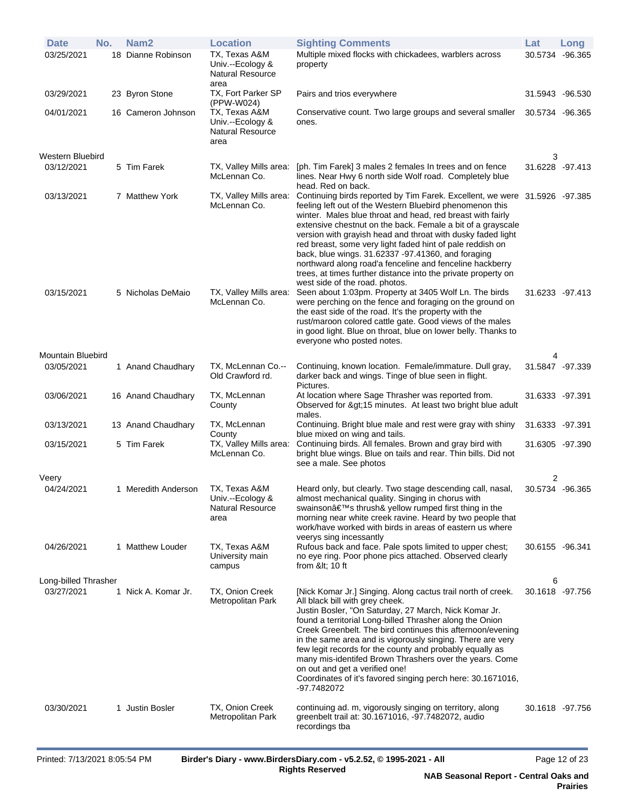| <b>Date</b>          | No. | Nam <sub>2</sub>    | <b>Location</b>                                                      | <b>Sighting Comments</b>                                                                                                                                                                                                                                                                                                                                                                                                                                                                                                                                                                                             | Lat             | Long |
|----------------------|-----|---------------------|----------------------------------------------------------------------|----------------------------------------------------------------------------------------------------------------------------------------------------------------------------------------------------------------------------------------------------------------------------------------------------------------------------------------------------------------------------------------------------------------------------------------------------------------------------------------------------------------------------------------------------------------------------------------------------------------------|-----------------|------|
| 03/25/2021           |     | 18 Dianne Robinson  | TX, Texas A&M<br>Univ.--Ecology &<br><b>Natural Resource</b><br>area | Multiple mixed flocks with chickadees, warblers across<br>property                                                                                                                                                                                                                                                                                                                                                                                                                                                                                                                                                   | 30.5734 -96.365 |      |
| 03/29/2021           |     | 23 Byron Stone      | TX, Fort Parker SP<br>(PPW-W024)                                     | Pairs and trios everywhere                                                                                                                                                                                                                                                                                                                                                                                                                                                                                                                                                                                           | 31.5943 -96.530 |      |
| 04/01/2021           |     | 16 Cameron Johnson  | TX, Texas A&M<br>Univ.--Ecology &<br><b>Natural Resource</b><br>area | Conservative count. Two large groups and several smaller<br>ones.                                                                                                                                                                                                                                                                                                                                                                                                                                                                                                                                                    | 30.5734 -96.365 |      |
| Western Bluebird     |     |                     |                                                                      |                                                                                                                                                                                                                                                                                                                                                                                                                                                                                                                                                                                                                      | 3               |      |
| 03/12/2021           |     | 5 Tim Farek         | TX, Valley Mills area:<br>McLennan Co.                               | [ph. Tim Farek] 3 males 2 females In trees and on fence<br>lines. Near Hwy 6 north side Wolf road. Completely blue<br>head. Red on back.                                                                                                                                                                                                                                                                                                                                                                                                                                                                             | 31.6228 -97.413 |      |
| 03/13/2021           |     | 7 Matthew York      | TX, Valley Mills area:<br>McLennan Co.                               | Continuing birds reported by Tim Farek. Excellent, we were 31.5926 -97.385<br>feeling left out of the Western Bluebird phenomenon this<br>winter. Males blue throat and head, red breast with fairly<br>extensive chestnut on the back. Female a bit of a grayscale<br>version with grayish head and throat with dusky faded light<br>red breast, some very light faded hint of pale reddish on<br>back, blue wings. 31.62337 -97.41360, and foraging<br>northward along road'a fenceline and fenceline hackberry<br>trees, at times further distance into the private property on<br>west side of the road. photos. |                 |      |
| 03/15/2021           |     | 5 Nicholas DeMaio   | TX, Valley Mills area:<br>McLennan Co.                               | Seen about 1:03pm. Property at 3405 Wolf Ln. The birds<br>were perching on the fence and foraging on the ground on<br>the east side of the road. It's the property with the<br>rust/maroon colored cattle gate. Good views of the males<br>in good light. Blue on throat, blue on lower belly. Thanks to<br>everyone who posted notes.                                                                                                                                                                                                                                                                               | 31.6233 -97.413 |      |
| Mountain Bluebird    |     |                     |                                                                      |                                                                                                                                                                                                                                                                                                                                                                                                                                                                                                                                                                                                                      | 4               |      |
| 03/05/2021           |     | 1 Anand Chaudhary   | TX, McLennan Co.--<br>Old Crawford rd.                               | Continuing, known location. Female/immature. Dull gray,<br>darker back and wings. Tinge of blue seen in flight.<br>Pictures.                                                                                                                                                                                                                                                                                                                                                                                                                                                                                         | 31.5847 -97.339 |      |
| 03/06/2021           |     | 16 Anand Chaudhary  | TX, McLennan<br>County                                               | At location where Sage Thrasher was reported from.<br>Observed for >15 minutes. At least two bright blue adult<br>males.                                                                                                                                                                                                                                                                                                                                                                                                                                                                                             | 31.6333 -97.391 |      |
| 03/13/2021           |     | 13 Anand Chaudhary  | TX, McLennan<br>County                                               | Continuing. Bright blue male and rest were gray with shiny<br>blue mixed on wing and tails.                                                                                                                                                                                                                                                                                                                                                                                                                                                                                                                          | 31.6333 -97.391 |      |
| 03/15/2021           |     | 5 Tim Farek         | TX, Valley Mills area:<br>McLennan Co.                               | Continuing birds. All females. Brown and gray bird with<br>bright blue wings. Blue on tails and rear. Thin bills. Did not<br>see a male. See photos                                                                                                                                                                                                                                                                                                                                                                                                                                                                  | 31.6305 -97.390 |      |
| Veery                |     |                     |                                                                      |                                                                                                                                                                                                                                                                                                                                                                                                                                                                                                                                                                                                                      | $\overline{2}$  |      |
| 04/24/2021           |     | 1 Meredith Anderson | TX, Texas A&M<br>Univ.--Ecology &<br><b>Natural Resource</b><br>area | Heard only, but clearly. Two stage descending call, nasal,<br>almost mechanical quality. Singing in chorus with<br>swainson's thrush& yellow rumped first thing in the<br>morning near white creek ravine. Heard by two people that<br>work/have worked with birds in areas of eastern us where<br>veerys sing incessantly                                                                                                                                                                                                                                                                                           | 30.5734 -96.365 |      |
| 04/26/2021           |     | 1 Matthew Louder    | TX, Texas A&M<br>University main<br>campus                           | Rufous back and face. Pale spots limited to upper chest;<br>no eye ring. Poor phone pics attached. Observed clearly<br>from &It 10 ft                                                                                                                                                                                                                                                                                                                                                                                                                                                                                | 30.6155 -96.341 |      |
| Long-billed Thrasher |     |                     |                                                                      |                                                                                                                                                                                                                                                                                                                                                                                                                                                                                                                                                                                                                      | 6               |      |
| 03/27/2021           |     | 1 Nick A. Komar Jr. | TX, Onion Creek<br>Metropolitan Park                                 | [Nick Komar Jr.] Singing. Along cactus trail north of creek.<br>All black bill with grey cheek.<br>Justin Bosler, "On Saturday, 27 March, Nick Komar Jr.<br>found a territorial Long-billed Thrasher along the Onion<br>Creek Greenbelt. The bird continues this afternoon/evening<br>in the same area and is vigorously singing. There are very<br>few legit records for the county and probably equally as<br>many mis-identifed Brown Thrashers over the years. Come<br>on out and get a verified one!<br>Coordinates of it's favored singing perch here: 30.1671016,<br>-97.7482072                              | 30.1618 -97.756 |      |
| 03/30/2021           |     | 1 Justin Bosler     | TX, Onion Creek<br>Metropolitan Park                                 | continuing ad. m, vigorously singing on territory, along<br>greenbelt trail at: 30.1671016, -97.7482072, audio<br>recordings tba                                                                                                                                                                                                                                                                                                                                                                                                                                                                                     | 30.1618 -97.756 |      |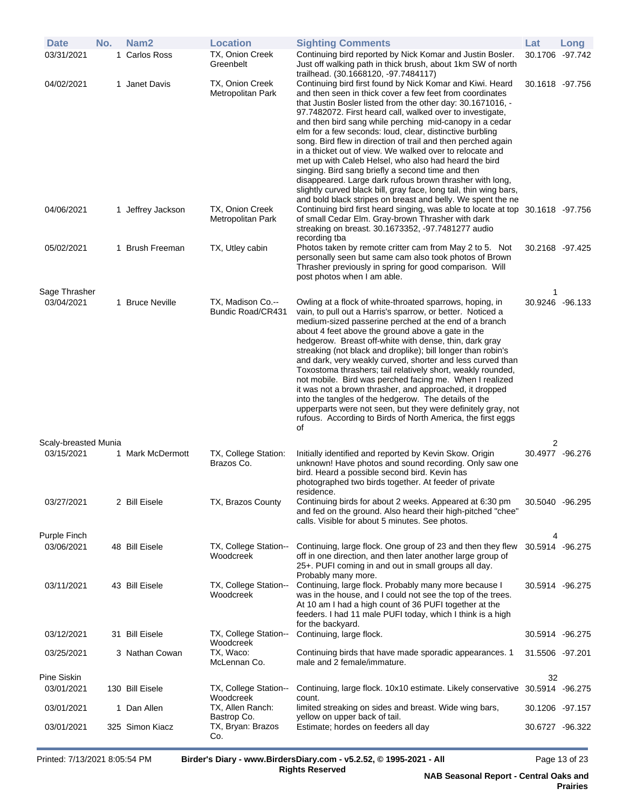| <b>Date</b>                 | No. | Nam <sub>2</sub>  | <b>Location</b>                        | <b>Sighting Comments</b>                                                                                                                                                                                                                                                                                                                                                                                                                                                                                                                                                                                                                                                                                                                                                                                           | Lat                  | Long |
|-----------------------------|-----|-------------------|----------------------------------------|--------------------------------------------------------------------------------------------------------------------------------------------------------------------------------------------------------------------------------------------------------------------------------------------------------------------------------------------------------------------------------------------------------------------------------------------------------------------------------------------------------------------------------------------------------------------------------------------------------------------------------------------------------------------------------------------------------------------------------------------------------------------------------------------------------------------|----------------------|------|
| 03/31/2021                  |     | 1 Carlos Ross     | TX, Onion Creek<br>Greenbelt           | Continuing bird reported by Nick Komar and Justin Bosler.<br>Just off walking path in thick brush, about 1km SW of north<br>trailhead. (30.1668120, -97.7484117)                                                                                                                                                                                                                                                                                                                                                                                                                                                                                                                                                                                                                                                   | 30.1706 -97.742      |      |
| 04/02/2021                  |     | 1 Janet Davis     | TX, Onion Creek<br>Metropolitan Park   | Continuing bird first found by Nick Komar and Kiwi. Heard<br>and then seen in thick cover a few feet from coordinates<br>that Justin Bosler listed from the other day: 30.1671016, -<br>97.7482072. First heard call, walked over to investigate,<br>and then bird sang while perching mid-canopy in a cedar<br>elm for a few seconds: loud, clear, distinctive burbling<br>song. Bird flew in direction of trail and then perched again<br>in a thicket out of view. We walked over to relocate and<br>met up with Caleb Helsel, who also had heard the bird<br>singing. Bird sang briefly a second time and then<br>disappeared. Large dark rufous brown thrasher with long,<br>slightly curved black bill, gray face, long tail, thin wing bars,<br>and bold black stripes on breast and belly. We spent the ne | 30.1618 -97.756      |      |
| 04/06/2021                  |     | 1 Jeffrey Jackson | TX, Onion Creek<br>Metropolitan Park   | Continuing bird first heard singing, was able to locate at top 30.1618 -97.756<br>of small Cedar Elm. Gray-brown Thrasher with dark<br>streaking on breast. 30.1673352, -97.7481277 audio<br>recording tba                                                                                                                                                                                                                                                                                                                                                                                                                                                                                                                                                                                                         |                      |      |
| 05/02/2021                  |     | 1 Brush Freeman   | TX, Utley cabin                        | Photos taken by remote critter cam from May 2 to 5. Not<br>personally seen but same cam also took photos of Brown<br>Thrasher previously in spring for good comparison. Will<br>post photos when I am able.                                                                                                                                                                                                                                                                                                                                                                                                                                                                                                                                                                                                        | 30.2168 -97.425      |      |
| Sage Thrasher<br>03/04/2021 |     | 1 Bruce Neville   | TX, Madison Co.--<br>Bundic Road/CR431 | Owling at a flock of white-throated sparrows, hoping, in<br>vain, to pull out a Harris's sparrow, or better. Noticed a<br>medium-sized passerine perched at the end of a branch<br>about 4 feet above the ground above a gate in the<br>hedgerow. Breast off-white with dense, thin, dark gray<br>streaking (not black and droplike); bill longer than robin's<br>and dark, very weakly curved, shorter and less curved than<br>Toxostoma thrashers; tail relatively short, weakly rounded,<br>not mobile. Bird was perched facing me. When I realized<br>it was not a brown thrasher, and approached, it dropped<br>into the tangles of the hedgerow. The details of the<br>upperparts were not seen, but they were definitely gray, not<br>rufous. According to Birds of North America, the first eggs<br>οf     | 1<br>30.9246 -96.133 |      |
| Scaly-breasted Munia        |     |                   |                                        |                                                                                                                                                                                                                                                                                                                                                                                                                                                                                                                                                                                                                                                                                                                                                                                                                    | 2                    |      |
| 03/15/2021                  |     | 1 Mark McDermott  | TX, College Station:<br>Brazos Co.     | Initially identified and reported by Kevin Skow. Origin<br>unknown! Have photos and sound recording. Only saw one<br>bird. Heard a possible second bird. Kevin has<br>photographed two birds together. At feeder of private<br>residence.                                                                                                                                                                                                                                                                                                                                                                                                                                                                                                                                                                          | 30.4977 -96.276      |      |
| 03/27/2021                  |     | 2 Bill Eisele     | TX, Brazos County                      | Continuing birds for about 2 weeks. Appeared at 6:30 pm<br>and fed on the ground. Also heard their high-pitched "chee"<br>calls. Visible for about 5 minutes. See photos.                                                                                                                                                                                                                                                                                                                                                                                                                                                                                                                                                                                                                                          | 30.5040 -96.295      |      |
| Purple Finch                |     |                   |                                        |                                                                                                                                                                                                                                                                                                                                                                                                                                                                                                                                                                                                                                                                                                                                                                                                                    | 4                    |      |
| 03/06/2021                  |     | 48 Bill Eisele    | TX, College Station--<br>Woodcreek     | Continuing, large flock. One group of 23 and then they flew<br>off in one direction, and then later another large group of<br>25+. PUFI coming in and out in small groups all day.<br>Probably many more.                                                                                                                                                                                                                                                                                                                                                                                                                                                                                                                                                                                                          | 30.5914 -96.275      |      |
| 03/11/2021                  |     | 43 Bill Eisele    | TX, College Station--<br>Woodcreek     | Continuing, large flock. Probably many more because I<br>was in the house, and I could not see the top of the trees.<br>At 10 am I had a high count of 36 PUFI together at the<br>feeders. I had 11 male PUFI today, which I think is a high<br>for the backyard.                                                                                                                                                                                                                                                                                                                                                                                                                                                                                                                                                  | 30.5914 -96.275      |      |
| 03/12/2021                  |     | 31 Bill Eisele    | TX, College Station--<br>Woodcreek     | Continuing, large flock.                                                                                                                                                                                                                                                                                                                                                                                                                                                                                                                                                                                                                                                                                                                                                                                           | 30.5914 -96.275      |      |
| 03/25/2021                  |     | 3 Nathan Cowan    | TX, Waco:<br>McLennan Co.              | Continuing birds that have made sporadic appearances. 1<br>male and 2 female/immature.                                                                                                                                                                                                                                                                                                                                                                                                                                                                                                                                                                                                                                                                                                                             | 31.5506 -97.201      |      |
| Pine Siskin<br>03/01/2021   |     | 130 Bill Eisele   | TX, College Station--                  | Continuing, large flock. 10x10 estimate. Likely conservative 30.5914 -96.275                                                                                                                                                                                                                                                                                                                                                                                                                                                                                                                                                                                                                                                                                                                                       | 32                   |      |
| 03/01/2021                  |     | 1 Dan Allen       | Woodcreek<br>TX, Allen Ranch:          | count.<br>limited streaking on sides and breast. Wide wing bars,                                                                                                                                                                                                                                                                                                                                                                                                                                                                                                                                                                                                                                                                                                                                                   | 30.1206 -97.157      |      |
| 03/01/2021                  |     | 325 Simon Kiacz   | Bastrop Co.<br>TX, Bryan: Brazos       | yellow on upper back of tail.<br>Estimate; hordes on feeders all day                                                                                                                                                                                                                                                                                                                                                                                                                                                                                                                                                                                                                                                                                                                                               | 30.6727 -96.322      |      |
|                             |     |                   | Co.                                    |                                                                                                                                                                                                                                                                                                                                                                                                                                                                                                                                                                                                                                                                                                                                                                                                                    |                      |      |

Printed: 7/13/2021 8:05:54 PM **Birder's Diary - www.BirdersDiary.com - v5.2.52, © 1995-2021 - All Rights Reserved**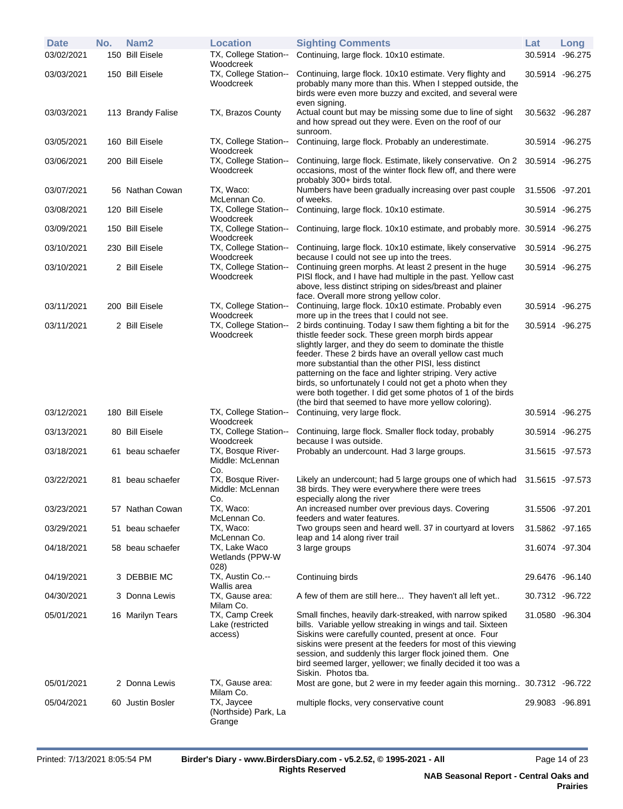| <b>Date</b> | No. | Nam <sub>2</sub>  | <b>Location</b>                               | <b>Sighting Comments</b>                                                                                                                                                                                                                                                                                                                                                                                                                                                                                                                         | Lat             | Long            |
|-------------|-----|-------------------|-----------------------------------------------|--------------------------------------------------------------------------------------------------------------------------------------------------------------------------------------------------------------------------------------------------------------------------------------------------------------------------------------------------------------------------------------------------------------------------------------------------------------------------------------------------------------------------------------------------|-----------------|-----------------|
| 03/02/2021  |     | 150 Bill Eisele   | TX, College Station--<br>Woodcreek            | Continuing, large flock. 10x10 estimate.                                                                                                                                                                                                                                                                                                                                                                                                                                                                                                         | 30.5914 -96.275 |                 |
| 03/03/2021  |     | 150 Bill Eisele   | TX, College Station--<br>Woodcreek            | Continuing, large flock. 10x10 estimate. Very flighty and<br>probably many more than this. When I stepped outside, the<br>birds were even more buzzy and excited, and several were<br>even signing.                                                                                                                                                                                                                                                                                                                                              | 30.5914 -96.275 |                 |
| 03/03/2021  |     | 113 Brandy Falise | TX, Brazos County                             | Actual count but may be missing some due to line of sight<br>and how spread out they were. Even on the roof of our<br>sunroom.                                                                                                                                                                                                                                                                                                                                                                                                                   | 30.5632 -96.287 |                 |
| 03/05/2021  |     | 160 Bill Eisele   | TX, College Station--<br>Woodcreek            | Continuing, large flock. Probably an underestimate.                                                                                                                                                                                                                                                                                                                                                                                                                                                                                              | 30.5914 -96.275 |                 |
| 03/06/2021  |     | 200 Bill Eisele   | TX, College Station--<br>Woodcreek            | Continuing, large flock. Estimate, likely conservative. On 2<br>occasions, most of the winter flock flew off, and there were<br>probably 300+ birds total.                                                                                                                                                                                                                                                                                                                                                                                       | 30.5914 -96.275 |                 |
| 03/07/2021  |     | 56 Nathan Cowan   | TX, Waco:<br>McLennan Co.                     | Numbers have been gradually increasing over past couple<br>of weeks.                                                                                                                                                                                                                                                                                                                                                                                                                                                                             | 31.5506 -97.201 |                 |
| 03/08/2021  |     | 120 Bill Eisele   | TX, College Station--<br>Woodcreek            | Continuing, large flock. 10x10 estimate.                                                                                                                                                                                                                                                                                                                                                                                                                                                                                                         | 30.5914 -96.275 |                 |
| 03/09/2021  |     | 150 Bill Eisele   | TX, College Station--<br>Woodcreek            | Continuing, large flock. 10x10 estimate, and probably more. 30.5914 -96.275                                                                                                                                                                                                                                                                                                                                                                                                                                                                      |                 |                 |
| 03/10/2021  |     | 230 Bill Eisele   | TX, College Station--<br>Woodcreek            | Continuing, large flock. 10x10 estimate, likely conservative<br>because I could not see up into the trees.                                                                                                                                                                                                                                                                                                                                                                                                                                       | 30.5914 -96.275 |                 |
| 03/10/2021  |     | 2 Bill Eisele     | TX, College Station--<br>Woodcreek            | Continuing green morphs. At least 2 present in the huge<br>PISI flock, and I have had multiple in the past. Yellow cast<br>above, less distinct striping on sides/breast and plainer<br>face. Overall more strong yellow color.                                                                                                                                                                                                                                                                                                                  |                 | 30.5914 -96.275 |
| 03/11/2021  |     | 200 Bill Eisele   | TX, College Station--<br>Woodcreek            | Continuing, large flock. 10x10 estimate. Probably even<br>more up in the trees that I could not see.                                                                                                                                                                                                                                                                                                                                                                                                                                             | 30.5914 -96.275 |                 |
| 03/11/2021  |     | 2 Bill Eisele     | TX, College Station--<br>Woodcreek            | 2 birds continuing. Today I saw them fighting a bit for the<br>thistle feeder sock. These green morph birds appear<br>slightly larger, and they do seem to dominate the thistle<br>feeder. These 2 birds have an overall yellow cast much<br>more substantial than the other PISI, less distinct<br>patterning on the face and lighter striping. Very active<br>birds, so unfortunately I could not get a photo when they<br>were both together. I did get some photos of 1 of the birds<br>(the bird that seemed to have more yellow coloring). | 30.5914 -96.275 |                 |
| 03/12/2021  |     | 180 Bill Eisele   | TX, College Station--<br>Woodcreek            | Continuing, very large flock.                                                                                                                                                                                                                                                                                                                                                                                                                                                                                                                    | 30.5914 -96.275 |                 |
| 03/13/2021  |     | 80 Bill Eisele    | TX, College Station--<br>Woodcreek            | Continuing, large flock. Smaller flock today, probably<br>because I was outside.                                                                                                                                                                                                                                                                                                                                                                                                                                                                 | 30.5914 -96.275 |                 |
| 03/18/2021  |     | 61 beau schaefer  | TX, Bosque River-<br>Middle: McLennan<br>Co.  | Probably an undercount. Had 3 large groups.                                                                                                                                                                                                                                                                                                                                                                                                                                                                                                      | 31.5615 -97.573 |                 |
| 03/22/2021  |     | 81 beau schaefer  | TX, Bosque River-<br>Middle: McLennan<br>Co.  | Likely an undercount; had 5 large groups one of which had<br>38 birds. They were everywhere there were trees<br>especially along the river                                                                                                                                                                                                                                                                                                                                                                                                       | 31.5615 -97.573 |                 |
| 03/23/2021  |     | 57 Nathan Cowan   | TX, Waco:<br>McLennan Co.                     | An increased number over previous days. Covering<br>feeders and water features.                                                                                                                                                                                                                                                                                                                                                                                                                                                                  | 31.5506 -97.201 |                 |
| 03/29/2021  |     | 51 beau schaefer  | TX, Waco:<br>McLennan Co.                     | Two groups seen and heard well. 37 in courtyard at lovers<br>leap and 14 along river trail                                                                                                                                                                                                                                                                                                                                                                                                                                                       | 31.5862 -97.165 |                 |
| 04/18/2021  |     | 58 beau schaefer  | TX, Lake Waco<br>Wetlands (PPW-W<br>028)      | 3 large groups                                                                                                                                                                                                                                                                                                                                                                                                                                                                                                                                   | 31.6074 -97.304 |                 |
| 04/19/2021  |     | 3 DEBBIE MC       | TX, Austin Co.--<br>Wallis area               | Continuing birds                                                                                                                                                                                                                                                                                                                                                                                                                                                                                                                                 |                 | 29.6476 -96.140 |
| 04/30/2021  |     | 3 Donna Lewis     | TX, Gause area:<br>Milam Co.                  | A few of them are still here They haven't all left yet                                                                                                                                                                                                                                                                                                                                                                                                                                                                                           | 30.7312 -96.722 |                 |
| 05/01/2021  |     | 16 Marilyn Tears  | TX, Camp Creek<br>Lake (restricted<br>access) | Small finches, heavily dark-streaked, with narrow spiked<br>bills. Variable yellow streaking in wings and tail. Sixteen<br>Siskins were carefully counted, present at once. Four<br>siskins were present at the feeders for most of this viewing<br>session, and suddenly this larger flock joined them. One<br>bird seemed larger, yellower; we finally decided it too was a<br>Siskin. Photos tba.                                                                                                                                             | 31.0580 -96.304 |                 |
| 05/01/2021  |     | 2 Donna Lewis     | TX, Gause area:<br>Milam Co.                  | Most are gone, but 2 were in my feeder again this morning 30.7312 -96.722                                                                                                                                                                                                                                                                                                                                                                                                                                                                        |                 |                 |
| 05/04/2021  |     | 60 Justin Bosler  | TX, Jaycee<br>(Northside) Park, La<br>Grange  | multiple flocks, very conservative count                                                                                                                                                                                                                                                                                                                                                                                                                                                                                                         | 29.9083 -96.891 |                 |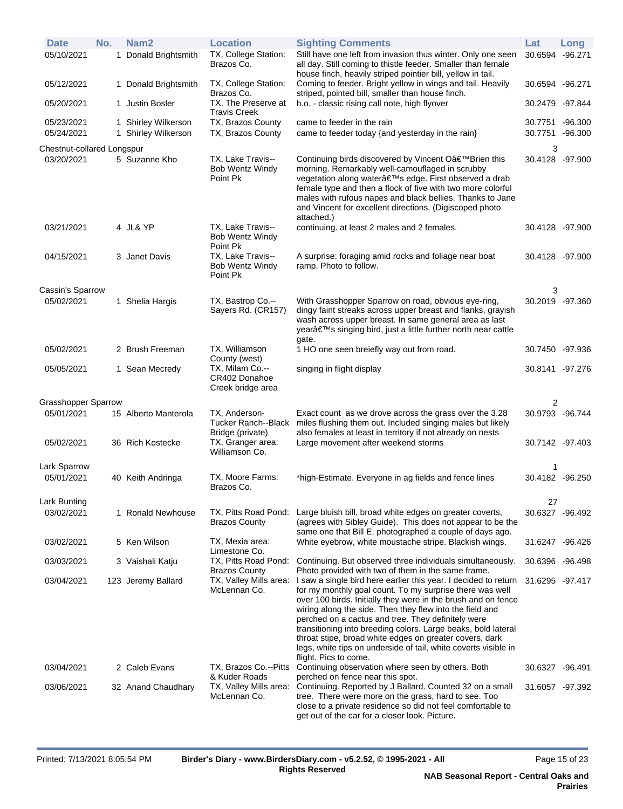| <b>Date</b><br>05/10/2021  | No. | Nam <sub>2</sub><br>1 Donald Brightsmith   | <b>Location</b><br>TX, College Station:<br>Brazos Co.         | <b>Sighting Comments</b><br>Still have one left from invasion thus winter. Only one seen<br>all day. Still coming to thistle feeder. Smaller than female<br>house finch, heavily striped pointier bill, yellow in tail.                                                                                                                                                                                                                                                                                                                | Lat<br>30.6594 -96.271 | Long                 |
|----------------------------|-----|--------------------------------------------|---------------------------------------------------------------|----------------------------------------------------------------------------------------------------------------------------------------------------------------------------------------------------------------------------------------------------------------------------------------------------------------------------------------------------------------------------------------------------------------------------------------------------------------------------------------------------------------------------------------|------------------------|----------------------|
| 05/12/2021                 |     | 1 Donald Brightsmith                       | TX, College Station:<br>Brazos Co.                            | Coming to feeder. Bright yellow in wings and tail. Heavily<br>striped, pointed bill, smaller than house finch.                                                                                                                                                                                                                                                                                                                                                                                                                         | 30.6594 -96.271        |                      |
| 05/20/2021                 |     | 1 Justin Bosler                            | TX, The Preserve at<br><b>Travis Creek</b>                    | h.o. - classic rising call note, high flyover                                                                                                                                                                                                                                                                                                                                                                                                                                                                                          | 30.2479 -97.844        |                      |
| 05/23/2021<br>05/24/2021   |     | 1 Shirley Wilkerson<br>1 Shirley Wilkerson | TX, Brazos County<br>TX, Brazos County                        | came to feeder in the rain<br>came to feeder today {and yesterday in the rain}                                                                                                                                                                                                                                                                                                                                                                                                                                                         | 30.7751<br>30.7751     | -96.300<br>$-96.300$ |
| Chestnut-collared Longspur |     |                                            |                                                               |                                                                                                                                                                                                                                                                                                                                                                                                                                                                                                                                        | 3                      |                      |
| 03/20/2021                 |     | 5 Suzanne Kho                              | TX, Lake Travis--<br><b>Bob Wentz Windy</b><br>Point Pk       | Continuing birds discovered by Vincent O'Brien this<br>morning. Remarkably well-camouflaged in scrubby<br>vegetation along water's edge. First observed a drab<br>female type and then a flock of five with two more colorful<br>males with rufous napes and black bellies. Thanks to Jane<br>and Vincent for excellent directions. (Digiscoped photo<br>attached.)                                                                                                                                                                    | 30.4128 -97.900        |                      |
| 03/21/2021                 |     | 4 JL& YP                                   | TX, Lake Travis--<br><b>Bob Wentz Windy</b><br>Point Pk       | continuing. at least 2 males and 2 females.                                                                                                                                                                                                                                                                                                                                                                                                                                                                                            | 30.4128 -97.900        |                      |
| 04/15/2021                 |     | 3 Janet Davis                              | TX, Lake Travis--<br><b>Bob Wentz Windy</b><br>Point Pk       | A surprise: foraging amid rocks and foliage near boat<br>ramp. Photo to follow.                                                                                                                                                                                                                                                                                                                                                                                                                                                        | 30.4128 -97.900        |                      |
| Cassin's Sparrow           |     |                                            |                                                               |                                                                                                                                                                                                                                                                                                                                                                                                                                                                                                                                        | 3                      |                      |
| 05/02/2021                 |     | 1 Shelia Hargis                            | TX, Bastrop Co.--<br>Sayers Rd. (CR157)                       | With Grasshopper Sparrow on road, obvious eye-ring,<br>dingy faint streaks across upper breast and flanks, grayish<br>wash across upper breast. In same general area as last<br>year's singing bird, just a little further north near cattle<br>gate.                                                                                                                                                                                                                                                                                  | 30.2019 -97.360        |                      |
| 05/02/2021                 |     | 2 Brush Freeman                            | TX, Williamson<br>County (west)                               | 1 HO one seen breiefly way out from road.                                                                                                                                                                                                                                                                                                                                                                                                                                                                                              | 30.7450 -97.936        |                      |
| 05/05/2021                 |     | 1 Sean Mecredy                             | TX, Milam Co.--<br>CR402 Donahoe<br>Creek bridge area         | singing in flight display                                                                                                                                                                                                                                                                                                                                                                                                                                                                                                              |                        | 30.8141 -97.276      |
| <b>Grasshopper Sparrow</b> |     |                                            |                                                               |                                                                                                                                                                                                                                                                                                                                                                                                                                                                                                                                        | 2                      |                      |
| 05/01/2021                 |     | 15 Alberto Manterola                       | TX, Anderson-<br>Tucker Ranch--Black<br>Bridge (private)      | Exact count as we drove across the grass over the 3.28<br>miles flushing them out. Included singing males but likely<br>also females at least in territory if not already on nests                                                                                                                                                                                                                                                                                                                                                     | 30.9793 -96.744        |                      |
| 05/02/2021                 |     | 36 Rich Kostecke                           | TX, Granger area:<br>Williamson Co.                           | Large movement after weekend storms                                                                                                                                                                                                                                                                                                                                                                                                                                                                                                    | 30.7142 -97.403        |                      |
| Lark Sparrow               |     |                                            |                                                               |                                                                                                                                                                                                                                                                                                                                                                                                                                                                                                                                        | 1                      |                      |
| 05/01/2021                 |     | 40 Keith Andringa                          | TX, Moore Farms:<br>Brazos Co.                                | *high-Estimate. Everyone in ag fields and fence lines                                                                                                                                                                                                                                                                                                                                                                                                                                                                                  | 30.4182 -96.250        |                      |
| Lark Bunting               |     |                                            |                                                               |                                                                                                                                                                                                                                                                                                                                                                                                                                                                                                                                        | 27                     |                      |
| 03/02/2021                 |     | 1 Ronald Newhouse                          | TX, Pitts Road Pond:<br><b>Brazos County</b>                  | Large bluish bill, broad white edges on greater coverts,<br>(agrees with Sibley Guide). This does not appear to be the<br>same one that Bill E. photographed a couple of days ago.                                                                                                                                                                                                                                                                                                                                                     |                        | 30.6327 -96.492      |
| 03/02/2021                 |     | 5 Ken Wilson                               | TX, Mexia area:                                               | White eyebrow, white moustache stripe. Blackish wings.                                                                                                                                                                                                                                                                                                                                                                                                                                                                                 | 31.6247 -96.426        |                      |
| 03/03/2021                 |     | 3 Vaishali Katju                           | Limestone Co.<br>TX, Pitts Road Pond:<br><b>Brazos County</b> | Continuing. But observed three individuals simultaneously.<br>Photo provided with two of them in the same frame.                                                                                                                                                                                                                                                                                                                                                                                                                       | 30.6396 -96.498        |                      |
| 03/04/2021                 |     | 123 Jeremy Ballard                         | TX, Valley Mills area:<br>McLennan Co.                        | I saw a single bird here earlier this year. I decided to return<br>for my monthly goal count. To my surprise there was well<br>over 100 birds. Initially they were in the brush and on fence<br>wiring along the side. Then they flew into the field and<br>perched on a cactus and tree. They definitely were<br>transitioning into breeding colors. Large beaks, bold lateral<br>throat stipe, broad white edges on greater covers, dark<br>legs, white tips on underside of tail, white coverts visible in<br>flight. Pics to come. | 31.6295 - 97.417       |                      |
| 03/04/2021                 |     | 2 Caleb Evans                              | TX, Brazos Co.--Pitts<br>& Kuder Roads                        | Continuing observation where seen by others. Both<br>perched on fence near this spot.                                                                                                                                                                                                                                                                                                                                                                                                                                                  | 30.6327 -96.491        |                      |
| 03/06/2021                 |     | 32 Anand Chaudhary                         | TX, Valley Mills area:<br>McLennan Co.                        | Continuing. Reported by J Ballard. Counted 32 on a small<br>tree. There were more on the grass, hard to see. Too<br>close to a private residence so did not feel comfortable to<br>get out of the car for a closer look. Picture.                                                                                                                                                                                                                                                                                                      | 31.6057 -97.392        |                      |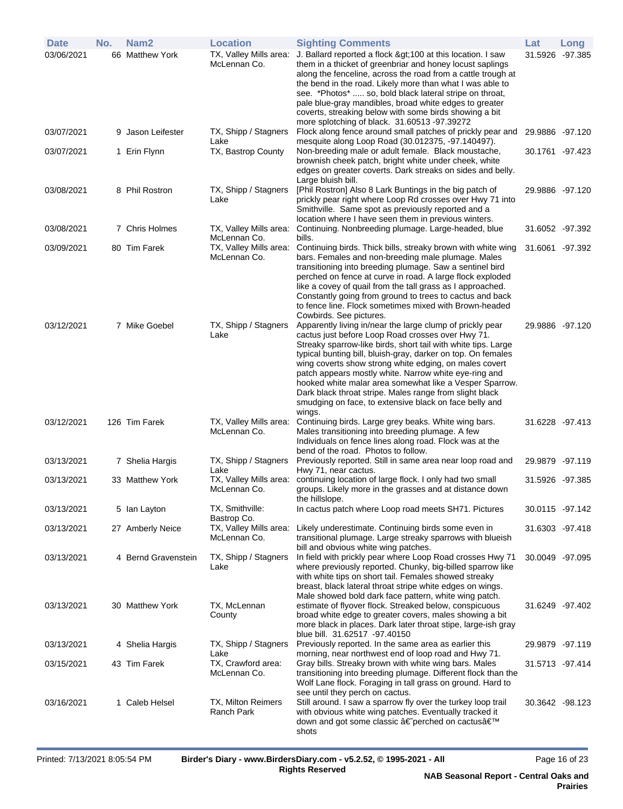| <b>Date</b> | No. | Nam <sub>2</sub>    | <b>Location</b>                        | <b>Sighting Comments</b>                                                                                                                                                                                                                                                                                                                                                                                                                                                                                                                                     | Lat             | Long            |
|-------------|-----|---------------------|----------------------------------------|--------------------------------------------------------------------------------------------------------------------------------------------------------------------------------------------------------------------------------------------------------------------------------------------------------------------------------------------------------------------------------------------------------------------------------------------------------------------------------------------------------------------------------------------------------------|-----------------|-----------------|
| 03/06/2021  |     | 66 Matthew York     | TX, Valley Mills area:<br>McLennan Co. | J. Ballard reported a flock >100 at this location. I saw<br>them in a thicket of greenbriar and honey locust saplings<br>along the fenceline, across the road from a cattle trough at<br>the bend in the road. Likely more than what I was able to<br>see. *Photos*  so, bold black lateral stripe on throat,<br>pale blue-gray mandibles, broad white edges to greater<br>coverts, streaking below with some birds showing a bit<br>more splotching of black. 31.60513 -97.39272                                                                            | 31.5926 -97.385 |                 |
| 03/07/2021  |     | 9 Jason Leifester   | TX, Shipp / Stagners<br>Lake           | Flock along fence around small patches of prickly pear and<br>mesquite along Loop Road (30.012375, -97.140497).                                                                                                                                                                                                                                                                                                                                                                                                                                              | 29.9886 -97.120 |                 |
| 03/07/2021  |     | 1 Erin Flynn        | TX, Bastrop County                     | Non-breeding male or adult female. Black moustache,<br>brownish cheek patch, bright white under cheek, white<br>edges on greater coverts. Dark streaks on sides and belly.<br>Large bluish bill.                                                                                                                                                                                                                                                                                                                                                             | 30.1761 -97.423 |                 |
| 03/08/2021  |     | 8 Phil Rostron      | TX, Shipp / Stagners<br>Lake           | [Phil Rostron] Also 8 Lark Buntings in the big patch of<br>prickly pear right where Loop Rd crosses over Hwy 71 into<br>Smithville. Same spot as previously reported and a<br>location where I have seen them in previous winters.                                                                                                                                                                                                                                                                                                                           | 29.9886 -97.120 |                 |
| 03/08/2021  |     | 7 Chris Holmes      | TX, Valley Mills area:<br>McLennan Co. | Continuing. Nonbreeding plumage. Large-headed, blue<br>bills.                                                                                                                                                                                                                                                                                                                                                                                                                                                                                                | 31.6052 -97.392 |                 |
| 03/09/2021  |     | 80 Tim Farek        | TX, Valley Mills area:<br>McLennan Co. | Continuing birds. Thick bills, streaky brown with white wing<br>bars. Females and non-breeding male plumage. Males<br>transitioning into breeding plumage. Saw a sentinel bird<br>perched on fence at curve in road. A large flock exploded<br>like a covey of quail from the tall grass as I approached.<br>Constantly going from ground to trees to cactus and back<br>to fence line. Flock sometimes mixed with Brown-headed<br>Cowbirds. See pictures.                                                                                                   | 31.6061 -97.392 |                 |
| 03/12/2021  |     | 7 Mike Goebel       | TX, Shipp / Stagners<br>Lake           | Apparently living in/near the large clump of prickly pear<br>cactus just before Loop Road crosses over Hwy 71.<br>Streaky sparrow-like birds, short tail with white tips. Large<br>typical bunting bill, bluish-gray, darker on top. On females<br>wing coverts show strong white edging, on males covert<br>patch appears mostly white. Narrow white eye-ring and<br>hooked white malar area somewhat like a Vesper Sparrow.<br>Dark black throat stripe. Males range from slight black<br>smudging on face, to extensive black on face belly and<br>wings. | 29.9886 -97.120 |                 |
| 03/12/2021  |     | 126 Tim Farek       | TX, Valley Mills area:<br>McLennan Co. | Continuing birds. Large grey beaks. White wing bars.<br>Males transitioning into breeding plumage. A few<br>Individuals on fence lines along road. Flock was at the<br>bend of the road. Photos to follow.                                                                                                                                                                                                                                                                                                                                                   |                 | 31.6228 -97.413 |
| 03/13/2021  |     | 7 Shelia Hargis     | TX, Shipp / Stagners<br>Lake           | Previously reported. Still in same area near loop road and<br>Hwy 71, near cactus.                                                                                                                                                                                                                                                                                                                                                                                                                                                                           | 29.9879 -97.119 |                 |
| 03/13/2021  |     | 33 Matthew York     | TX, Valley Mills area:<br>McLennan Co. | continuing location of large flock. I only had two small<br>groups. Likely more in the grasses and at distance down<br>the hillslope.                                                                                                                                                                                                                                                                                                                                                                                                                        | 31.5926 -97.385 |                 |
| 03/13/2021  |     | 5 Ian Layton        | TX, Smithville:<br>Bastrop Co.         | In cactus patch where Loop road meets SH71. Pictures                                                                                                                                                                                                                                                                                                                                                                                                                                                                                                         | 30.0115 -97.142 |                 |
| 03/13/2021  |     | 27 Amberly Neice    | TX, Valley Mills area:<br>McLennan Co. | Likely underestimate. Continuing birds some even in<br>transitional plumage. Large streaky sparrows with blueish<br>bill and obvious white wing patches.                                                                                                                                                                                                                                                                                                                                                                                                     | 31.6303 -97.418 |                 |
| 03/13/2021  |     | 4 Bernd Gravenstein | TX, Shipp / Stagners<br>Lake           | In field with prickly pear where Loop Road crosses Hwy 71<br>where previously reported. Chunky, big-billed sparrow like<br>with white tips on short tail. Females showed streaky<br>breast, black lateral throat stripe white edges on wings.<br>Male showed bold dark face pattern, white wing patch.                                                                                                                                                                                                                                                       | 30.0049 -97.095 |                 |
| 03/13/2021  |     | 30 Matthew York     | TX, McLennan<br>County                 | estimate of flyover flock. Streaked below, conspicuous<br>broad white edge to greater covers, males showing a bit<br>more black in places. Dark later throat stipe, large-ish gray<br>blue bill. 31.62517 -97.40150                                                                                                                                                                                                                                                                                                                                          | 31.6249 -97.402 |                 |
| 03/13/2021  |     | 4 Shelia Hargis     | TX, Shipp / Stagners<br>Lake           | Previously reported. In the same area as earlier this<br>morning, near northwest end of loop road and Hwy 71.                                                                                                                                                                                                                                                                                                                                                                                                                                                | 29.9879 -97.119 |                 |
| 03/15/2021  |     | 43 Tim Farek        | TX, Crawford area:<br>McLennan Co.     | Gray bills. Streaky brown with white wing bars. Males<br>transitioning into breeding plumage. Different flock than the<br>Wolf Lane flock. Foraging in tall grass on ground. Hard to<br>see until they perch on cactus.                                                                                                                                                                                                                                                                                                                                      | 31.5713 -97.414 |                 |
| 03/16/2021  |     | 1 Caleb Helsel      | TX, Milton Reimers<br>Ranch Park       | Still around. I saw a sparrow fly over the turkey loop trail<br>with obvious white wing patches. Eventually tracked it<br>down and got some classic â€perched on cactus'<br>shots                                                                                                                                                                                                                                                                                                                                                                            | 30.3642 -98.123 |                 |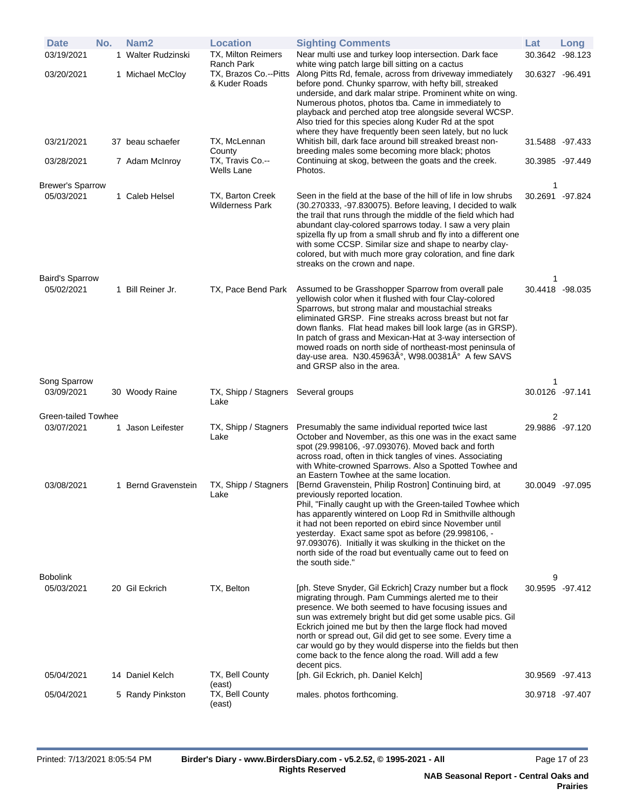| <b>Date</b>                          | No. | Nam <sub>2</sub>    | <b>Location</b>                            | <b>Sighting Comments</b>                                                                                                                                                                                                                                                                                                                                                                                                                                                                                                        | Lat                  | Long |
|--------------------------------------|-----|---------------------|--------------------------------------------|---------------------------------------------------------------------------------------------------------------------------------------------------------------------------------------------------------------------------------------------------------------------------------------------------------------------------------------------------------------------------------------------------------------------------------------------------------------------------------------------------------------------------------|----------------------|------|
| 03/19/2021                           |     | 1 Walter Rudzinski  | TX, Milton Reimers<br>Ranch Park           | Near multi use and turkey loop intersection. Dark face<br>white wing patch large bill sitting on a cactus                                                                                                                                                                                                                                                                                                                                                                                                                       | 30.3642 -98.123      |      |
| 03/20/2021                           |     | 1 Michael McCloy    | TX, Brazos Co.--Pitts<br>& Kuder Roads     | Along Pitts Rd, female, across from driveway immediately<br>before pond. Chunky sparrow, with hefty bill, streaked<br>underside, and dark malar stripe. Prominent white on wing.<br>Numerous photos, photos tba. Came in immediately to<br>playback and perched atop tree alongside several WCSP.<br>Also tried for this species along Kuder Rd at the spot<br>where they have frequently been seen lately, but no luck                                                                                                         | 30.6327 -96.491      |      |
| 03/21/2021                           |     | 37 beau schaefer    | TX, McLennan<br>County                     | Whitish bill, dark face around bill streaked breast non-<br>breeding males some becoming more black; photos                                                                                                                                                                                                                                                                                                                                                                                                                     | 31.5488 -97.433      |      |
| 03/28/2021                           |     | 7 Adam McInroy      | TX, Travis Co.--<br>Wells Lane             | Continuing at skog, between the goats and the creek.<br>Photos.                                                                                                                                                                                                                                                                                                                                                                                                                                                                 | 30.3985 -97.449      |      |
| <b>Brewer's Sparrow</b>              |     |                     |                                            |                                                                                                                                                                                                                                                                                                                                                                                                                                                                                                                                 | 1                    |      |
| 05/03/2021                           |     | 1 Caleb Helsel      | TX, Barton Creek<br><b>Wilderness Park</b> | Seen in the field at the base of the hill of life in low shrubs<br>(30.270333, -97.830075). Before leaving, I decided to walk<br>the trail that runs through the middle of the field which had<br>abundant clay-colored sparrows today. I saw a very plain<br>spizella fly up from a small shrub and fly into a different one<br>with some CCSP. Similar size and shape to nearby clay-<br>colored, but with much more gray coloration, and fine dark<br>streaks on the crown and nape.                                         | 30.2691 -97.824      |      |
| <b>Baird's Sparrow</b><br>05/02/2021 |     | 1 Bill Reiner Jr.   | TX, Pace Bend Park                         | Assumed to be Grasshopper Sparrow from overall pale<br>yellowish color when it flushed with four Clay-colored<br>Sparrows, but strong malar and moustachial streaks<br>eliminated GRSP. Fine streaks across breast but not far<br>down flanks. Flat head makes bill look large (as in GRSP).<br>In patch of grass and Mexican-Hat at 3-way intersection of<br>mowed roads on north side of northeast-most peninsula of<br>day-use area. N30.45963°, W98.00381° A few SAVS                                                       | 1<br>30.4418 -98.035 |      |
|                                      |     |                     |                                            | and GRSP also in the area.                                                                                                                                                                                                                                                                                                                                                                                                                                                                                                      |                      |      |
| Song Sparrow                         |     |                     |                                            |                                                                                                                                                                                                                                                                                                                                                                                                                                                                                                                                 | 1                    |      |
| 03/09/2021                           |     | 30 Woody Raine      | TX, Shipp / Stagners<br>Lake               | Several groups                                                                                                                                                                                                                                                                                                                                                                                                                                                                                                                  | 30.0126 -97.141      |      |
| Green-tailed Towhee                  |     |                     |                                            |                                                                                                                                                                                                                                                                                                                                                                                                                                                                                                                                 | 2                    |      |
| 03/07/2021                           |     | 1 Jason Leifester   | TX, Shipp / Stagners<br>Lake               | Presumably the same individual reported twice last<br>October and November, as this one was in the exact same<br>spot (29.998106, -97.093076). Moved back and forth<br>across road, often in thick tangles of vines. Associating<br>with White-crowned Sparrows. Also a Spotted Towhee and                                                                                                                                                                                                                                      | 29.9886 -97.120      |      |
| 03/08/2021                           |     | 1 Bernd Gravenstein | TX, Shipp / Stagners<br>Lake               | an Eastern Towhee at the same location.<br>[Bernd Gravenstein, Philip Rostron] Continuing bird, at<br>previously reported location.<br>Phil, "Finally caught up with the Green-tailed Towhee which<br>has apparently wintered on Loop Rd in Smithville although<br>it had not been reported on ebird since November until<br>yesterday. Exact same spot as before (29.998106, -<br>97.093076). Initially it was skulking in the thicket on the<br>north side of the road but eventually came out to feed on<br>the south side." | 30.0049 -97.095      |      |
| Bobolink<br>05/03/2021               |     | 20 Gil Eckrich      | TX, Belton                                 | [ph. Steve Snyder, Gil Eckrich] Crazy number but a flock<br>migrating through. Pam Cummings alerted me to their<br>presence. We both seemed to have focusing issues and<br>sun was extremely bright but did get some usable pics. Gil<br>Eckrich joined me but by then the large flock had moved<br>north or spread out, Gil did get to see some. Every time a<br>car would go by they would disperse into the fields but then<br>come back to the fence along the road. Will add a few                                         | 9<br>30.9595 -97.412 |      |
| 05/04/2021                           |     | 14 Daniel Kelch     | TX, Bell County<br>(east)                  | decent pics.<br>[ph. Gil Eckrich, ph. Daniel Kelch]                                                                                                                                                                                                                                                                                                                                                                                                                                                                             | 30.9569 -97.413      |      |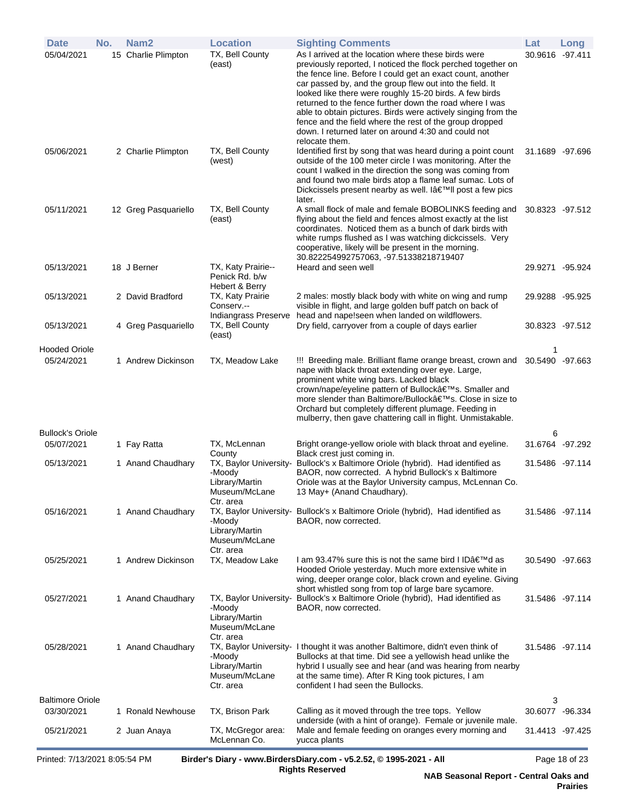| <b>Date</b>                           | No. | Nam <sub>2</sub>     | <b>Location</b>                                                                  | <b>Sighting Comments</b>                                                                                                                                                                                                                                                                                                                                                                                                                                                                                                                                                 | Lat             | Long            |
|---------------------------------------|-----|----------------------|----------------------------------------------------------------------------------|--------------------------------------------------------------------------------------------------------------------------------------------------------------------------------------------------------------------------------------------------------------------------------------------------------------------------------------------------------------------------------------------------------------------------------------------------------------------------------------------------------------------------------------------------------------------------|-----------------|-----------------|
| 05/04/2021                            |     | 15 Charlie Plimpton  | TX, Bell County<br>(east)                                                        | As I arrived at the location where these birds were<br>previously reported, I noticed the flock perched together on<br>the fence line. Before I could get an exact count, another<br>car passed by, and the group flew out into the field. It<br>looked like there were roughly 15-20 birds. A few birds<br>returned to the fence further down the road where I was<br>able to obtain pictures. Birds were actively singing from the<br>fence and the field where the rest of the group dropped<br>down. I returned later on around 4:30 and could not<br>relocate them. | 30.9616 -97.411 |                 |
| 05/06/2021                            |     | 2 Charlie Plimpton   | TX, Bell County<br>(west)                                                        | Identified first by song that was heard during a point count<br>outside of the 100 meter circle I was monitoring. After the<br>count I walked in the direction the song was coming from<br>and found two male birds atop a flame leaf sumac. Lots of<br>Dickcissels present nearby as well. I'II post a few pics<br>later.                                                                                                                                                                                                                                               |                 | 31.1689 -97.696 |
| 05/11/2021                            |     | 12 Greg Pasquariello | TX, Bell County<br>(east)                                                        | A small flock of male and female BOBOLINKS feeding and<br>flying about the field and fences almost exactly at the list<br>coordinates. Noticed them as a bunch of dark birds with<br>white rumps flushed as I was watching dickcissels. Very<br>cooperative, likely will be present in the morning.<br>30.822254992757063, -97.51338218719407                                                                                                                                                                                                                            | 30.8323 -97.512 |                 |
| 05/13/2021                            |     | 18 J Berner          | TX, Katy Prairie--<br>Penick Rd. b/w<br>Hebert & Berry                           | Heard and seen well                                                                                                                                                                                                                                                                                                                                                                                                                                                                                                                                                      |                 | 29.9271 -95.924 |
| 05/13/2021                            |     | 2 David Bradford     | TX, Katy Prairie<br>Conserv.--                                                   | 2 males: mostly black body with white on wing and rump<br>visible in flight, and large golden buff patch on back of                                                                                                                                                                                                                                                                                                                                                                                                                                                      |                 | 29.9288 -95.925 |
| 05/13/2021                            |     | 4 Greg Pasquariello  | Indiangrass Preserve<br>TX, Bell County<br>(east)                                | head and nape!seen when landed on wildflowers.<br>Dry field, carryover from a couple of days earlier                                                                                                                                                                                                                                                                                                                                                                                                                                                                     |                 | 30.8323 -97.512 |
| <b>Hooded Oriole</b><br>05/24/2021    |     | 1 Andrew Dickinson   | TX, Meadow Lake                                                                  | !!! Breeding male. Brilliant flame orange breast, crown and 30.5490 -97.663<br>nape with black throat extending over eye. Large,<br>prominent white wing bars. Lacked black<br>crown/nape/eyeline pattern of Bullock's. Smaller and<br>more slender than Baltimore/Bullock's. Close in size to<br>Orchard but completely different plumage. Feeding in<br>mulberry, then gave chattering call in flight. Unmistakable.                                                                                                                                                   | 1               |                 |
| <b>Bullock's Oriole</b>               |     |                      |                                                                                  |                                                                                                                                                                                                                                                                                                                                                                                                                                                                                                                                                                          | 6               |                 |
| 05/07/2021                            |     | 1 Fay Ratta          | TX, McLennan<br>County                                                           | Bright orange-yellow oriole with black throat and eyeline.<br>Black crest just coming in.                                                                                                                                                                                                                                                                                                                                                                                                                                                                                | 31.6764 -97.292 |                 |
| 05/13/2021                            |     | 1 Anand Chaudhary    | TX, Baylor University-<br>-Moody<br>Library/Martin<br>Museum/McLane<br>Ctr. area | Bullock's x Baltimore Oriole (hybrid). Had identified as<br>BAOR, now corrected. A hybrid Bullock's x Baltimore<br>Oriole was at the Baylor University campus, McLennan Co.<br>13 May+ (Anand Chaudhary).                                                                                                                                                                                                                                                                                                                                                                | 31.5486 -97.114 |                 |
| 05/16/2021                            |     | 1 Anand Chaudhary    | -Moody<br>Library/Martin<br>Museum/McLane<br>Ctr. area                           | TX, Baylor University- Bullock's x Baltimore Oriole (hybrid), Had identified as<br>BAOR, now corrected.                                                                                                                                                                                                                                                                                                                                                                                                                                                                  |                 | 31.5486 -97.114 |
| 05/25/2021                            |     | 1 Andrew Dickinson   | TX, Meadow Lake                                                                  | I am 93.47% sure this is not the same bird I ID'd as<br>Hooded Oriole yesterday. Much more extensive white in<br>wing, deeper orange color, black crown and eyeline. Giving<br>short whistled song from top of large bare sycamore.                                                                                                                                                                                                                                                                                                                                      |                 | 30.5490 -97.663 |
| 05/27/2021                            |     | 1 Anand Chaudhary    | TX, Baylor University-<br>-Moody<br>Library/Martin<br>Museum/McLane<br>Ctr. area | Bullock's x Baltimore Oriole (hybrid), Had identified as<br>BAOR, now corrected.                                                                                                                                                                                                                                                                                                                                                                                                                                                                                         |                 | 31.5486 -97.114 |
| 05/28/2021                            |     | 1 Anand Chaudhary    | -Moody<br>Library/Martin<br>Museum/McLane<br>Ctr. area                           | TX, Baylor University- I thought it was another Baltimore, didn't even think of<br>Bullocks at that time. Did see a yellowish head unlike the<br>hybrid I usually see and hear (and was hearing from nearby<br>at the same time). After R King took pictures, I am<br>confident I had seen the Bullocks.                                                                                                                                                                                                                                                                 |                 | 31.5486 -97.114 |
| <b>Baltimore Oriole</b><br>03/30/2021 |     | 1 Ronald Newhouse    | TX, Brison Park                                                                  | Calling as it moved through the tree tops. Yellow                                                                                                                                                                                                                                                                                                                                                                                                                                                                                                                        | 3               | 30.6077 -96.334 |
| 05/21/2021                            |     | 2 Juan Anaya         | TX, McGregor area:<br>McLennan Co.                                               | underside (with a hint of orange). Female or juvenile male.<br>Male and female feeding on oranges every morning and<br>yucca plants                                                                                                                                                                                                                                                                                                                                                                                                                                      |                 | 31.4413 -97.425 |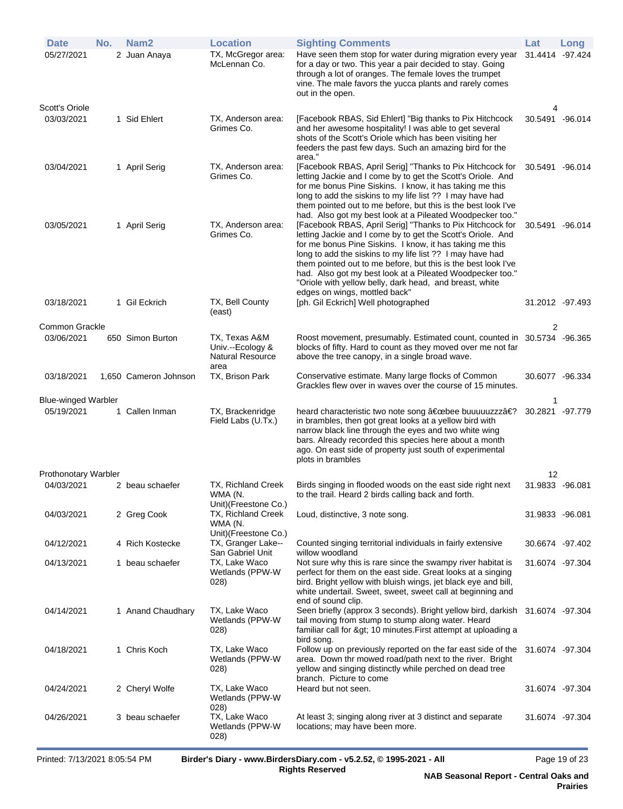| <b>Date</b>                | No. | Nam2                  | <b>Location</b>                                                      | <b>Sighting Comments</b>                                                                                                                                                                                                                                                                                                                                                                                                                                                                                                                 | Lat             | Long      |
|----------------------------|-----|-----------------------|----------------------------------------------------------------------|------------------------------------------------------------------------------------------------------------------------------------------------------------------------------------------------------------------------------------------------------------------------------------------------------------------------------------------------------------------------------------------------------------------------------------------------------------------------------------------------------------------------------------------|-----------------|-----------|
| 05/27/2021                 |     | 2 Juan Anaya          | TX, McGregor area:<br>McLennan Co.                                   | Have seen them stop for water during migration every year<br>for a day or two. This year a pair decided to stay. Going<br>through a lot of oranges. The female loves the trumpet<br>vine. The male favors the yucca plants and rarely comes<br>out in the open.                                                                                                                                                                                                                                                                          | 31.4414         | $-97.424$ |
| Scott's Oriole             |     |                       |                                                                      |                                                                                                                                                                                                                                                                                                                                                                                                                                                                                                                                          | 4               |           |
| 03/03/2021                 |     | 1 Sid Ehlert          | TX, Anderson area:<br>Grimes Co.                                     | [Facebook RBAS, Sid Ehlert] "Big thanks to Pix Hitchcock<br>and her awesome hospitality! I was able to get several<br>shots of the Scott's Oriole which has been visiting her<br>feeders the past few days. Such an amazing bird for the<br>area."                                                                                                                                                                                                                                                                                       | 30.5491 -96.014 |           |
| 03/04/2021                 |     | 1 April Serig         | TX, Anderson area:<br>Grimes Co.                                     | [Facebook RBAS, April Serig] "Thanks to Pix Hitchcock for<br>letting Jackie and I come by to get the Scott's Oriole. And<br>for me bonus Pine Siskins. I know, it has taking me this<br>long to add the siskins to my life list ?? I may have had<br>them pointed out to me before, but this is the best look I've                                                                                                                                                                                                                       | 30.5491 -96.014 |           |
| 03/05/2021                 |     | 1 April Serig         | TX, Anderson area:<br>Grimes Co.                                     | had. Also got my best look at a Pileated Woodpecker too."<br>[Facebook RBAS, April Serig] "Thanks to Pix Hitchcock for<br>letting Jackie and I come by to get the Scott's Oriole. And<br>for me bonus Pine Siskins. I know, it has taking me this<br>long to add the siskins to my life list ?? I may have had<br>them pointed out to me before, but this is the best look I've<br>had. Also got my best look at a Pileated Woodpecker too."<br>"Oriole with yellow belly, dark head, and breast, white<br>edges on wings, mottled back" | 30.5491 -96.014 |           |
| 03/18/2021                 |     | 1 Gil Eckrich         | TX, Bell County<br>(east)                                            | [ph. Gil Eckrich] Well photographed                                                                                                                                                                                                                                                                                                                                                                                                                                                                                                      | 31.2012 -97.493 |           |
| Common Grackle             |     |                       |                                                                      |                                                                                                                                                                                                                                                                                                                                                                                                                                                                                                                                          | 2               |           |
| 03/06/2021                 |     | 650 Simon Burton      | TX, Texas A&M<br>Univ.--Ecology &<br><b>Natural Resource</b><br>area | Roost movement, presumably. Estimated count, counted in 30.5734 -96.365<br>blocks of fifty. Hard to count as they moved over me not far<br>above the tree canopy, in a single broad wave.                                                                                                                                                                                                                                                                                                                                                |                 |           |
| 03/18/2021                 |     | 1,650 Cameron Johnson | TX, Brison Park                                                      | Conservative estimate. Many large flocks of Common<br>Grackles flew over in waves over the course of 15 minutes.                                                                                                                                                                                                                                                                                                                                                                                                                         | 30.6077 -96.334 |           |
| <b>Blue-winged Warbler</b> |     |                       |                                                                      |                                                                                                                                                                                                                                                                                                                                                                                                                                                                                                                                          |                 |           |
| 05/19/2021                 |     | 1 Callen Inman        | TX, Brackenridge<br>Field Labs (U.Tx.)                               | heard characteristic two note song "bee buuuuuzzz�<br>in brambles, then got great looks at a yellow bird with<br>narrow black line through the eyes and two white wing<br>bars. Already recorded this species here about a month<br>ago. On east side of property just south of experimental<br>plots in brambles                                                                                                                                                                                                                        | 30.2821 -97.779 |           |
| Prothonotary Warbler       |     |                       |                                                                      |                                                                                                                                                                                                                                                                                                                                                                                                                                                                                                                                          | 12              |           |
| 04/03/2021                 |     | 2 beau schaefer       | TX, Richland Creek<br>WMA (N.<br>Unit)(Freestone Co.)                | Birds singing in flooded woods on the east side right next<br>to the trail. Heard 2 birds calling back and forth.                                                                                                                                                                                                                                                                                                                                                                                                                        | 31.9833 -96.081 |           |
| 04/03/2021                 |     | 2 Greg Cook           | TX, Richland Creek<br>WMA (N.<br>Unit)(Freestone Co.)                | Loud, distinctive, 3 note song.                                                                                                                                                                                                                                                                                                                                                                                                                                                                                                          | 31.9833 -96.081 |           |
| 04/12/2021                 |     | 4 Rich Kostecke       | TX, Granger Lake--<br>San Gabriel Unit                               | Counted singing territorial individuals in fairly extensive<br>willow woodland                                                                                                                                                                                                                                                                                                                                                                                                                                                           | 30.6674 -97.402 |           |
| 04/13/2021                 |     | 1 beau schaefer       | TX, Lake Waco<br>Wetlands (PPW-W<br>028)                             | Not sure why this is rare since the swampy river habitat is<br>perfect for them on the east side. Great looks at a singing<br>bird. Bright yellow with bluish wings, jet black eye and bill,<br>white undertail. Sweet, sweet, sweet call at beginning and<br>end of sound clip.                                                                                                                                                                                                                                                         | 31.6074 -97.304 |           |
| 04/14/2021                 |     | 1 Anand Chaudhary     | TX, Lake Waco<br>Wetlands (PPW-W<br>028)                             | Seen briefly (approx 3 seconds). Bright yellow bird, darkish 31.6074 -97.304<br>tail moving from stump to stump along water. Heard<br>familiar call for > 10 minutes. First attempt at uploading a<br>bird song.                                                                                                                                                                                                                                                                                                                         |                 |           |
| 04/18/2021                 |     | 1 Chris Koch          | TX, Lake Waco<br>Wetlands (PPW-W<br>028)                             | Follow up on previously reported on the far east side of the<br>area. Down thr mowed road/path next to the river. Bright<br>yellow and singing distinctly while perched on dead tree<br>branch. Picture to come                                                                                                                                                                                                                                                                                                                          | 31.6074 -97.304 |           |
| 04/24/2021                 |     | 2 Cheryl Wolfe        | TX, Lake Waco<br>Wetlands (PPW-W                                     | Heard but not seen.                                                                                                                                                                                                                                                                                                                                                                                                                                                                                                                      | 31.6074 -97.304 |           |
| 04/26/2021                 |     | 3 beau schaefer       | 028)<br>TX, Lake Waco<br>Wetlands (PPW-W<br>(028)                    | At least 3; singing along river at 3 distinct and separate<br>locations; may have been more.                                                                                                                                                                                                                                                                                                                                                                                                                                             | 31.6074 -97.304 |           |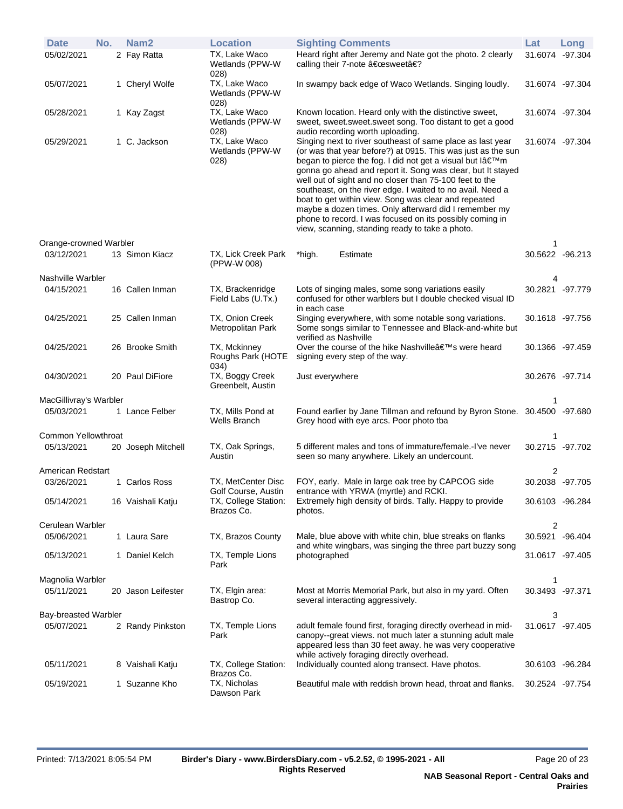| <b>Date</b>                 | No. | Nam <sub>2</sub>   | <b>Location</b>                           |                       | <b>Sighting Comments</b>                                                                                                                                                                                                                                                                                                                                                                                                                                                                                                                                                                                      | Lat             | Long    |
|-----------------------------|-----|--------------------|-------------------------------------------|-----------------------|---------------------------------------------------------------------------------------------------------------------------------------------------------------------------------------------------------------------------------------------------------------------------------------------------------------------------------------------------------------------------------------------------------------------------------------------------------------------------------------------------------------------------------------------------------------------------------------------------------------|-----------------|---------|
| 05/02/2021                  |     | 2 Fay Ratta        | TX, Lake Waco<br>Wetlands (PPW-W<br>028)  |                       | Heard right after Jeremy and Nate got the photo. 2 clearly<br>calling their 7-note "sweet�                                                                                                                                                                                                                                                                                                                                                                                                                                                                                                                    | 31.6074 -97.304 |         |
| 05/07/2021                  |     | 1 Cheryl Wolfe     | TX, Lake Waco<br>Wetlands (PPW-W<br>028)  |                       | In swampy back edge of Waco Wetlands. Singing loudly.                                                                                                                                                                                                                                                                                                                                                                                                                                                                                                                                                         | 31.6074 -97.304 |         |
| 05/28/2021                  |     | 1 Kay Zagst        | TX, Lake Waco<br>Wetlands (PPW-W<br>028)  |                       | Known location. Heard only with the distinctive sweet,<br>sweet, sweet.sweet.sweet song. Too distant to get a good<br>audio recording worth uploading.                                                                                                                                                                                                                                                                                                                                                                                                                                                        | 31.6074 -97.304 |         |
| 05/29/2021                  |     | 1 C. Jackson       | TX, Lake Waco<br>Wetlands (PPW-W<br>(028) |                       | Singing next to river southeast of same place as last year<br>(or was that year before?) at 0915. This was just as the sun<br>began to pierce the fog. I did not get a visual but l'm<br>gonna go ahead and report it. Song was clear, but It stayed<br>well out of sight and no closer than 75-100 feet to the<br>southeast, on the river edge. I waited to no avail. Need a<br>boat to get within view. Song was clear and repeated<br>maybe a dozen times. Only afterward did I remember my<br>phone to record. I was focused on its possibly coming in<br>view, scanning, standing ready to take a photo. | 31.6074 -97.304 |         |
| Orange-crowned Warbler      |     |                    |                                           |                       |                                                                                                                                                                                                                                                                                                                                                                                                                                                                                                                                                                                                               | 1               |         |
| 03/12/2021                  |     | 13 Simon Kiacz     | TX, Lick Creek Park<br>(PPW-W 008)        | *high.                | Estimate                                                                                                                                                                                                                                                                                                                                                                                                                                                                                                                                                                                                      | 30.5622 -96.213 |         |
| Nashville Warbler           |     |                    |                                           |                       |                                                                                                                                                                                                                                                                                                                                                                                                                                                                                                                                                                                                               | 4               |         |
| 04/15/2021                  |     | 16 Callen Inman    | TX, Brackenridge<br>Field Labs (U.Tx.)    | in each case          | Lots of singing males, some song variations easily<br>confused for other warblers but I double checked visual ID                                                                                                                                                                                                                                                                                                                                                                                                                                                                                              | 30.2821 -97.779 |         |
| 04/25/2021                  |     | 25 Callen Inman    | TX, Onion Creek<br>Metropolitan Park      | verified as Nashville | Singing everywhere, with some notable song variations.<br>Some songs similar to Tennessee and Black-and-white but                                                                                                                                                                                                                                                                                                                                                                                                                                                                                             | 30.1618 -97.756 |         |
| 04/25/2021                  |     | 26 Brooke Smith    | TX, Mckinney<br>Roughs Park (HOTE<br>034) |                       | Over the course of the hike Nashville's were heard<br>signing every step of the way.                                                                                                                                                                                                                                                                                                                                                                                                                                                                                                                          | 30.1366 -97.459 |         |
| 04/30/2021                  |     | 20 Paul DiFiore    | TX, Boggy Creek<br>Greenbelt, Austin      | Just everywhere       |                                                                                                                                                                                                                                                                                                                                                                                                                                                                                                                                                                                                               | 30.2676 -97.714 |         |
| MacGillivray's Warbler      |     |                    |                                           |                       |                                                                                                                                                                                                                                                                                                                                                                                                                                                                                                                                                                                                               |                 |         |
| 05/03/2021                  |     | 1 Lance Felber     | TX, Mills Pond at<br>Wells Branch         |                       | Found earlier by Jane Tillman and refound by Byron Stone. 30.4500 -97.680<br>Grey hood with eye arcs. Poor photo tba                                                                                                                                                                                                                                                                                                                                                                                                                                                                                          |                 |         |
| Common Yellowthroat         |     |                    |                                           |                       |                                                                                                                                                                                                                                                                                                                                                                                                                                                                                                                                                                                                               | 1               |         |
| 05/13/2021                  |     | 20 Joseph Mitchell | TX, Oak Springs,<br>Austin                |                       | 5 different males and tons of immature/female. I've never<br>seen so many anywhere. Likely an undercount.                                                                                                                                                                                                                                                                                                                                                                                                                                                                                                     | 30.2715 -97.702 |         |
| American Redstart           |     |                    |                                           |                       |                                                                                                                                                                                                                                                                                                                                                                                                                                                                                                                                                                                                               | 2               |         |
| 03/26/2021                  |     | 1 Carlos Ross      | TX, MetCenter Disc<br>Golf Course, Austin |                       | FOY, early. Male in large oak tree by CAPCOG side<br>entrance with YRWA (myrtle) and RCKI.                                                                                                                                                                                                                                                                                                                                                                                                                                                                                                                    | 30.2038 -97.705 |         |
| 05/14/2021                  |     | 16 Vaishali Katju  | TX, College Station:<br>Brazos Co.        | photos.               | Extremely high density of birds. Tally. Happy to provide                                                                                                                                                                                                                                                                                                                                                                                                                                                                                                                                                      | 30.6103 -96.284 |         |
| Cerulean Warbler            |     |                    |                                           |                       |                                                                                                                                                                                                                                                                                                                                                                                                                                                                                                                                                                                                               | 2               |         |
| 05/06/2021                  |     | 1 Laura Sare       | TX, Brazos County                         |                       | Male, blue above with white chin, blue streaks on flanks<br>and white wingbars, was singing the three part buzzy song                                                                                                                                                                                                                                                                                                                                                                                                                                                                                         | 30.5921         | -96.404 |
| 05/13/2021                  |     | 1 Daniel Kelch     | TX, Temple Lions<br>Park                  | photographed          |                                                                                                                                                                                                                                                                                                                                                                                                                                                                                                                                                                                                               | 31.0617 -97.405 |         |
| Magnolia Warbler            |     |                    |                                           |                       |                                                                                                                                                                                                                                                                                                                                                                                                                                                                                                                                                                                                               | 1               |         |
| 05/11/2021                  |     | 20 Jason Leifester | TX, Elgin area:<br>Bastrop Co.            |                       | Most at Morris Memorial Park, but also in my yard. Often<br>several interacting aggressively.                                                                                                                                                                                                                                                                                                                                                                                                                                                                                                                 | 30.3493 -97.371 |         |
| <b>Bay-breasted Warbler</b> |     |                    |                                           |                       |                                                                                                                                                                                                                                                                                                                                                                                                                                                                                                                                                                                                               | 3               |         |
| 05/07/2021                  |     | 2 Randy Pinkston   | TX, Temple Lions<br>Park                  |                       | adult female found first, foraging directly overhead in mid-<br>canopy--great views. not much later a stunning adult male<br>appeared less than 30 feet away. he was very cooperative<br>while actively foraging directly overhead.                                                                                                                                                                                                                                                                                                                                                                           | 31.0617 -97.405 |         |
| 05/11/2021                  |     | 8 Vaishali Katju   | TX, College Station:<br>Brazos Co.        |                       | Individually counted along transect. Have photos.                                                                                                                                                                                                                                                                                                                                                                                                                                                                                                                                                             | 30.6103 -96.284 |         |
| 05/19/2021                  |     | 1 Suzanne Kho      | TX, Nicholas<br>Dawson Park               |                       | Beautiful male with reddish brown head, throat and flanks.                                                                                                                                                                                                                                                                                                                                                                                                                                                                                                                                                    | 30.2524 -97.754 |         |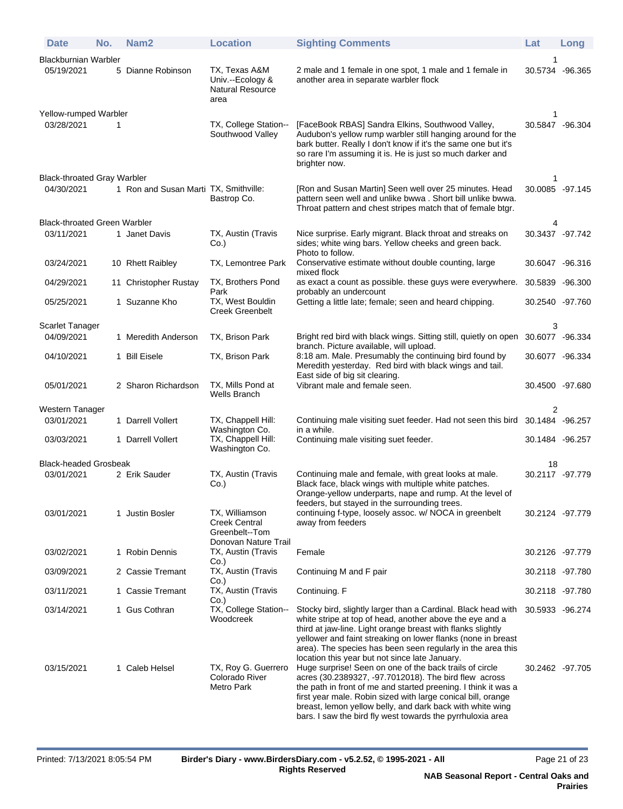| <b>Date</b>                         | No. | Nam <sub>2</sub>                      | <b>Location</b>                                                      | <b>Sighting Comments</b>                                                                                                                                                                                                                                                                                                                                                      | Lat              | Long |
|-------------------------------------|-----|---------------------------------------|----------------------------------------------------------------------|-------------------------------------------------------------------------------------------------------------------------------------------------------------------------------------------------------------------------------------------------------------------------------------------------------------------------------------------------------------------------------|------------------|------|
| <b>Blackburnian Warbler</b>         |     |                                       |                                                                      |                                                                                                                                                                                                                                                                                                                                                                               | 1                |      |
| 05/19/2021                          |     | 5 Dianne Robinson                     | TX, Texas A&M<br>Univ.--Ecology &<br><b>Natural Resource</b><br>area | 2 male and 1 female in one spot, 1 male and 1 female in<br>another area in separate warbler flock                                                                                                                                                                                                                                                                             | 30.5734 -96.365  |      |
| Yellow-rumped Warbler               |     |                                       |                                                                      |                                                                                                                                                                                                                                                                                                                                                                               | 1                |      |
| 03/28/2021                          | 1   |                                       | TX, College Station--<br>Southwood Valley                            | [FaceBook RBAS] Sandra Elkins, Southwood Valley,<br>Audubon's yellow rump warbler still hanging around for the<br>bark butter. Really I don't know if it's the same one but it's<br>so rare I'm assuming it is. He is just so much darker and<br>brighter now.                                                                                                                | 30.5847 -96.304  |      |
| <b>Black-throated Gray Warbler</b>  |     |                                       |                                                                      |                                                                                                                                                                                                                                                                                                                                                                               | 1                |      |
| 04/30/2021                          |     | 1 Ron and Susan Marti TX, Smithville: | Bastrop Co.                                                          | [Ron and Susan Martin] Seen well over 25 minutes. Head<br>pattern seen well and unlike bwwa. Short bill unlike bwwa.<br>Throat pattern and chest stripes match that of female btgr.                                                                                                                                                                                           | 30.0085 -97.145  |      |
| <b>Black-throated Green Warbler</b> |     |                                       |                                                                      |                                                                                                                                                                                                                                                                                                                                                                               |                  |      |
| 03/11/2021                          |     | 1 Janet Davis                         | TX, Austin (Travis<br>Co.                                            | Nice surprise. Early migrant. Black throat and streaks on<br>sides; white wing bars. Yellow cheeks and green back.<br>Photo to follow.                                                                                                                                                                                                                                        | 30.3437 -97.742  |      |
| 03/24/2021                          |     | 10 Rhett Raibley                      | TX, Lemontree Park                                                   | Conservative estimate without double counting, large<br>mixed flock                                                                                                                                                                                                                                                                                                           | 30.6047 -96.316  |      |
| 04/29/2021                          |     | 11 Christopher Rustay                 | TX, Brothers Pond<br>Park                                            | as exact a count as possible. these guys were everywhere.<br>probably an undercount                                                                                                                                                                                                                                                                                           | 30.5839 -96.300  |      |
| 05/25/2021                          |     | 1 Suzanne Kho                         | TX, West Bouldin<br>Creek Greenbelt                                  | Getting a little late; female; seen and heard chipping.                                                                                                                                                                                                                                                                                                                       | 30.2540 -97.760  |      |
| Scarlet Tanager                     |     |                                       |                                                                      |                                                                                                                                                                                                                                                                                                                                                                               | 3                |      |
| 04/09/2021                          |     | 1 Meredith Anderson                   | TX, Brison Park                                                      | Bright red bird with black wings. Sitting still, quietly on open 30.6077 -96.334<br>branch. Picture available, will upload.                                                                                                                                                                                                                                                   |                  |      |
| 04/10/2021                          |     | 1 Bill Eisele                         | TX, Brison Park                                                      | 8:18 am. Male. Presumably the continuing bird found by<br>Meredith yesterday. Red bird with black wings and tail.<br>East side of big sit clearing.                                                                                                                                                                                                                           | 30.6077 -96.334  |      |
| 05/01/2021                          |     | 2 Sharon Richardson                   | TX, Mills Pond at<br>Wells Branch                                    | Vibrant male and female seen.                                                                                                                                                                                                                                                                                                                                                 | 30.4500 -97.680  |      |
| Western Tanager                     |     |                                       |                                                                      |                                                                                                                                                                                                                                                                                                                                                                               | 2                |      |
| 03/01/2021                          |     | 1 Darrell Vollert                     | TX, Chappell Hill:<br>Washington Co.                                 | Continuing male visiting suet feeder. Had not seen this bird<br>in a while.                                                                                                                                                                                                                                                                                                   | 30.1484 - 96.257 |      |
| 03/03/2021                          |     | 1 Darrell Vollert                     | TX, Chappell Hill:<br>Washington Co.                                 | Continuing male visiting suet feeder.                                                                                                                                                                                                                                                                                                                                         | 30.1484 - 96.257 |      |
| <b>Black-headed Grosbeak</b>        |     |                                       |                                                                      |                                                                                                                                                                                                                                                                                                                                                                               | 18               |      |
| 03/01/2021                          |     | 2 Erik Sauder                         | TX, Austin (Travis<br>Co.                                            | Continuing male and female, with great looks at male.<br>Black face, black wings with multiple white patches.<br>Orange-yellow underparts, nape and rump. At the level of<br>feeders, but stayed in the surrounding trees.                                                                                                                                                    | 30.2117 -97.779  |      |
| 03/01/2021                          |     | 1 Justin Bosler                       | TX, Williamson<br><b>Creek Central</b><br>Greenbelt--Tom             | continuing f-type, loosely assoc. w/ NOCA in greenbelt<br>away from feeders                                                                                                                                                                                                                                                                                                   | 30.2124 -97.779  |      |
| 03/02/2021                          |     | 1 Robin Dennis                        | Donovan Nature Trail<br>TX, Austin (Travis<br>Co.)                   | Female                                                                                                                                                                                                                                                                                                                                                                        | 30.2126 -97.779  |      |
| 03/09/2021                          |     | 2 Cassie Tremant                      | TX, Austin (Travis<br>Co.                                            | Continuing M and F pair                                                                                                                                                                                                                                                                                                                                                       | 30.2118 -97.780  |      |
| 03/11/2021                          |     | 1 Cassie Tremant                      | TX, Austin (Travis<br>$Co.$ )                                        | Continuing. F                                                                                                                                                                                                                                                                                                                                                                 | 30.2118 -97.780  |      |
| 03/14/2021                          |     | 1 Gus Cothran                         | TX, College Station--<br>Woodcreek                                   | Stocky bird, slightly larger than a Cardinal. Black head with<br>white stripe at top of head, another above the eye and a<br>third at jaw-line. Light orange breast with flanks slightly<br>yellower and faint streaking on lower flanks (none in breast<br>area). The species has been seen regularly in the area this<br>location this year but not since late January.     | 30.5933 -96.274  |      |
| 03/15/2021                          |     | 1 Caleb Helsel                        | TX, Roy G. Guerrero<br>Colorado River<br>Metro Park                  | Huge surprise! Seen on one of the back trails of circle<br>acres (30.2389327, -97.7012018). The bird flew across<br>the path in front of me and started preening. I think it was a<br>first year male. Robin sized with large conical bill, orange<br>breast, lemon yellow belly, and dark back with white wing<br>bars. I saw the bird fly west towards the pyrrhuloxia area | 30.2462 -97.705  |      |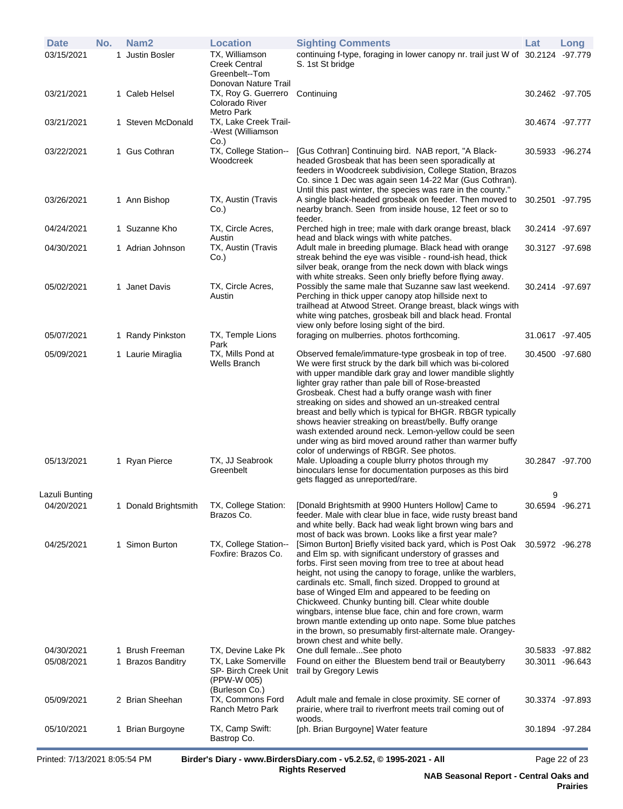|                              |     | $D_{\text{right}}$ di 7/12/2021 0.05.54 DM |                                                                                            | Dividents Diams, unusu Divident Diams com LuE 2 52 @ 4005 2024 All                                                                                                                                                                                                                                                                                                                                                                                                                                                                                                                                                                        |                                  | Dose02A522                         |
|------------------------------|-----|--------------------------------------------|--------------------------------------------------------------------------------------------|-------------------------------------------------------------------------------------------------------------------------------------------------------------------------------------------------------------------------------------------------------------------------------------------------------------------------------------------------------------------------------------------------------------------------------------------------------------------------------------------------------------------------------------------------------------------------------------------------------------------------------------------|----------------------------------|------------------------------------|
| 05/10/2021                   |     | 1 Brian Burgoyne                           | TX, Camp Swift:<br>Bastrop Co.                                                             | [ph. Brian Burgoyne] Water feature                                                                                                                                                                                                                                                                                                                                                                                                                                                                                                                                                                                                        | 30.1894 - 97.284                 |                                    |
| 05/09/2021                   |     | 2 Brian Sheehan                            | (Burleson Co.)<br>TX, Commons Ford<br>Ranch Metro Park                                     | Adult male and female in close proximity. SE corner of<br>prairie, where trail to riverfront meets trail coming out of<br>woods.                                                                                                                                                                                                                                                                                                                                                                                                                                                                                                          |                                  | 30.3374 -97.893                    |
| 04/30/2021<br>05/08/2021     |     | 1 Brush Freeman<br>1 Brazos Banditry       | TX, Devine Lake Pk<br>TX, Lake Somerville<br>SP- Birch Creek Unit<br>(PPW-W 005)           | One dull femaleSee photo<br>Found on either the Bluestem bend trail or Beautyberry<br>trail by Gregory Lewis                                                                                                                                                                                                                                                                                                                                                                                                                                                                                                                              |                                  | 30.5833 -97.882<br>30.3011 -96.643 |
|                              |     |                                            |                                                                                            | cardinals etc. Small, finch sized. Dropped to ground at<br>base of Winged Elm and appeared to be feeding on<br>Chickweed. Chunky bunting bill. Clear white double<br>wingbars, intense blue face, chin and fore crown, warm<br>brown mantle extending up onto nape. Some blue patches<br>in the brown, so presumably first-alternate male. Orangey-<br>brown chest and white belly.                                                                                                                                                                                                                                                       |                                  |                                    |
| 04/25/2021                   |     | 1 Simon Burton                             | TX, College Station--<br>Foxfire: Brazos Co.                                               | [Simon Burton] Briefly visited back yard, which is Post Oak<br>and Elm sp. with significant understory of grasses and<br>forbs. First seen moving from tree to tree at about head<br>height, not using the canopy to forage, unlike the warblers,                                                                                                                                                                                                                                                                                                                                                                                         | 30.5972 -96.278                  |                                    |
| Lazuli Bunting<br>04/20/2021 |     | 1 Donald Brightsmith                       | TX, College Station:<br>Brazos Co.                                                         | [Donald Brightsmith at 9900 Hunters Hollow] Came to<br>feeder. Male with clear blue in face, wide rusty breast band<br>and white belly. Back had weak light brown wing bars and<br>most of back was brown. Looks like a first year male?                                                                                                                                                                                                                                                                                                                                                                                                  | $\mathbf{Q}$<br>30.6594 - 96.271 |                                    |
|                              |     |                                            | Greenbelt                                                                                  | binoculars lense for documentation purposes as this bird<br>gets flagged as unreported/rare.                                                                                                                                                                                                                                                                                                                                                                                                                                                                                                                                              |                                  |                                    |
| 05/13/2021                   |     | 1 Ryan Pierce                              | Wells Branch<br>TX, JJ Seabrook                                                            | We were first struck by the dark bill which was bi-colored<br>with upper mandible dark gray and lower mandible slightly<br>lighter gray rather than pale bill of Rose-breasted<br>Grosbeak. Chest had a buffy orange wash with finer<br>streaking on sides and showed an un-streaked central<br>breast and belly which is typical for BHGR. RBGR typically<br>shows heavier streaking on breast/belly. Buffy orange<br>wash extended around neck. Lemon-yellow could be seen<br>under wing as bird moved around rather than warmer buffy<br>color of underwings of RBGR. See photos.<br>Male. Uploading a couple blurry photos through my | 30.2847 -97.700                  |                                    |
| 05/09/2021                   |     | 1 Laurie Miraglia                          | Park<br>TX, Mills Pond at                                                                  | Observed female/immature-type grosbeak in top of tree.                                                                                                                                                                                                                                                                                                                                                                                                                                                                                                                                                                                    | 30.4500 -97.680                  |                                    |
| 05/07/2021                   |     | 1 Randy Pinkston                           | TX, Temple Lions                                                                           | trailhead at Atwood Street. Orange breast, black wings with<br>white wing patches, grosbeak bill and black head. Frontal<br>view only before losing sight of the bird.<br>foraging on mulberries. photos forthcoming.                                                                                                                                                                                                                                                                                                                                                                                                                     | 31.0617 -97.405                  |                                    |
| 05/02/2021                   |     | 1 Janet Davis                              | TX, Circle Acres,<br>Austin                                                                | silver beak, orange from the neck down with black wings<br>with white streaks. Seen only briefly before flying away.<br>Possibly the same male that Suzanne saw last weekend.<br>Perching in thick upper canopy atop hillside next to                                                                                                                                                                                                                                                                                                                                                                                                     | 30.2414 -97.697                  |                                    |
| 04/30/2021                   |     | 1 Adrian Johnson                           | Austin<br>TX, Austin (Travis<br>Co.)                                                       | head and black wings with white patches.<br>Adult male in breeding plumage. Black head with orange<br>streak behind the eye was visible - round-ish head, thick                                                                                                                                                                                                                                                                                                                                                                                                                                                                           | 30.3127 -97.698                  |                                    |
| 04/24/2021                   |     | 1 Suzanne Kho                              | TX, Circle Acres,                                                                          | feeder.<br>Perched high in tree; male with dark orange breast, black                                                                                                                                                                                                                                                                                                                                                                                                                                                                                                                                                                      | 30.2414 -97.697                  |                                    |
| 03/26/2021                   |     | 1 Ann Bishop                               | TX, Austin (Travis<br>Co.)                                                                 | feeders in Woodcreek subdivision, College Station, Brazos<br>Co. since 1 Dec was again seen 14-22 Mar (Gus Cothran).<br>Until this past winter, the species was rare in the county."<br>A single black-headed grosbeak on feeder. Then moved to<br>nearby branch. Seen from inside house, 12 feet or so to                                                                                                                                                                                                                                                                                                                                | 30.2501 -97.795                  |                                    |
| 03/22/2021                   |     | 1 Gus Cothran                              | $Co.$ )<br>TX, College Station--<br>Woodcreek                                              | [Gus Cothran] Continuing bird. NAB report, "A Black-<br>headed Grosbeak that has been seen sporadically at                                                                                                                                                                                                                                                                                                                                                                                                                                                                                                                                | 30.5933 -96.274                  |                                    |
| 03/21/2021                   |     | 1 Steven McDonald                          | Metro Park<br>TX, Lake Creek Trail-<br>-West (Williamson                                   |                                                                                                                                                                                                                                                                                                                                                                                                                                                                                                                                                                                                                                           | 30.4674 -97.777                  |                                    |
| 03/21/2021                   |     | 1 Caleb Helsel                             | Greenbelt--Tom<br>Donovan Nature Trail<br>TX, Roy G. Guerrero Continuing<br>Colorado River |                                                                                                                                                                                                                                                                                                                                                                                                                                                                                                                                                                                                                                           | 30.2462 -97.705                  |                                    |
| <b>Date</b><br>03/15/2021    | No. | Nam <sub>2</sub><br>1 Justin Bosler        | <b>Location</b><br>TX, Williamson<br><b>Creek Central</b>                                  | <b>Sighting Comments</b><br>continuing f-type, foraging in lower canopy nr. trail just W of 30.2124 -97.779<br>S. 1st St bridge                                                                                                                                                                                                                                                                                                                                                                                                                                                                                                           | Lat                              | Long                               |

Printed: 7/13/2021 8:05:54 PM **Birder's Diary - www.BirdersDiary.com - v5.2.52, © 1995-2021 - All Rights Reserved**